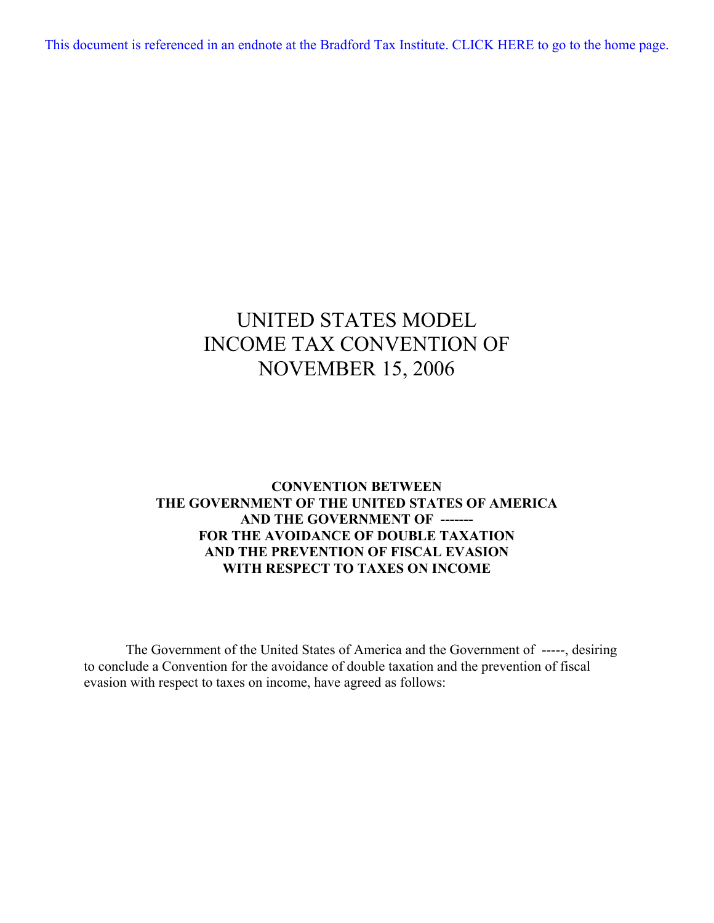[This document is referenced in an endnote at the Bradford Tax Institute. CLICK HERE to go to the home page.](www.bradfordtaxinstitute.com)

# UNITED STATES MODEL INCOME TAX CONVENTION OF NOVEMBER 15, 2006

#### **CONVENTION BETWEEN THE GOVERNMENT OF THE UNITED STATES OF AMERICA AND THE GOVERNMENT OF ------- FOR THE AVOIDANCE OF DOUBLE TAXATION AND THE PREVENTION OF FISCAL EVASION WITH RESPECT TO TAXES ON INCOME**

The Government of the United States of America and the Government of -----, desiring to conclude a Convention for the avoidance of double taxation and the prevention of fiscal evasion with respect to taxes on income, have agreed as follows: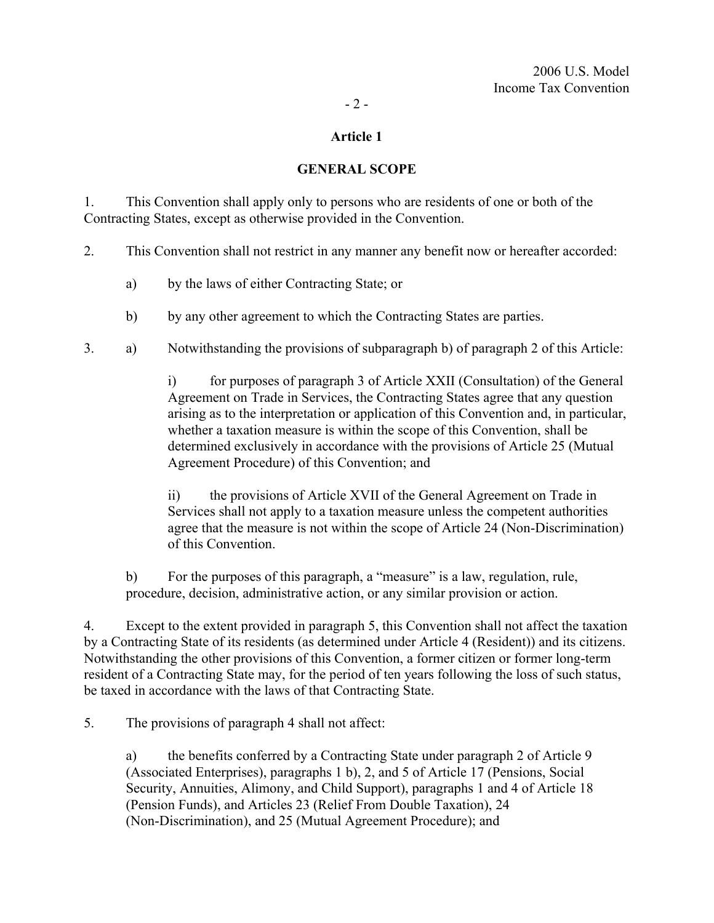#### **GENERAL SCOPE**

1. This Convention shall apply only to persons who are residents of one or both of the Contracting States, except as otherwise provided in the Convention.

2. This Convention shall not restrict in any manner any benefit now or hereafter accorded:

- a) by the laws of either Contracting State; or
- b) by any other agreement to which the Contracting States are parties.

3. a) Notwithstanding the provisions of subparagraph b) of paragraph 2 of this Article:

i) for purposes of paragraph 3 of Article XXII (Consultation) of the General Agreement on Trade in Services, the Contracting States agree that any question arising as to the interpretation or application of this Convention and, in particular, whether a taxation measure is within the scope of this Convention, shall be determined exclusively in accordance with the provisions of Article 25 (Mutual Agreement Procedure) of this Convention; and

ii) the provisions of Article XVII of the General Agreement on Trade in Services shall not apply to a taxation measure unless the competent authorities agree that the measure is not within the scope of Article 24 (Non-Discrimination) of this Convention.

b) For the purposes of this paragraph, a "measure" is a law, regulation, rule, procedure, decision, administrative action, or any similar provision or action.

4. Except to the extent provided in paragraph 5, this Convention shall not affect the taxation by a Contracting State of its residents (as determined under Article 4 (Resident)) and its citizens. Notwithstanding the other provisions of this Convention, a former citizen or former long-term resident of a Contracting State may, for the period of ten years following the loss of such status, be taxed in accordance with the laws of that Contracting State.

5. The provisions of paragraph 4 shall not affect:

a) the benefits conferred by a Contracting State under paragraph 2 of Article 9 (Associated Enterprises), paragraphs 1 b), 2, and 5 of Article 17 (Pensions, Social Security, Annuities, Alimony, and Child Support), paragraphs 1 and 4 of Article 18 (Pension Funds), and Articles 23 (Relief From Double Taxation), 24 (Non-Discrimination), and 25 (Mutual Agreement Procedure); and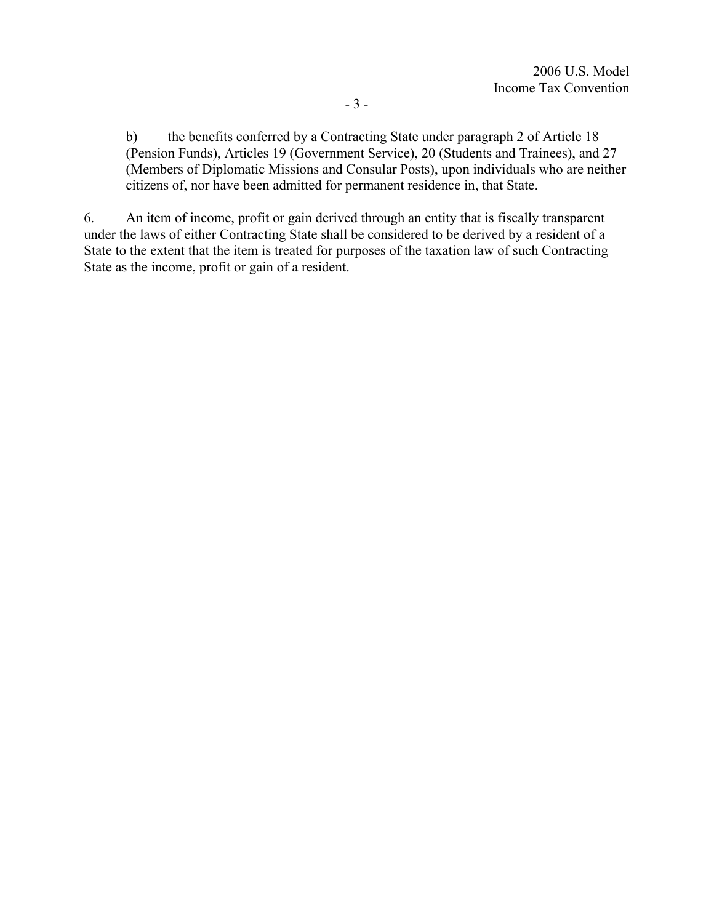b) the benefits conferred by a Contracting State under paragraph 2 of Article 18 (Pension Funds), Articles 19 (Government Service), 20 (Students and Trainees), and 27 (Members of Diplomatic Missions and Consular Posts), upon individuals who are neither citizens of, nor have been admitted for permanent residence in, that State.

- 3 -

6. An item of income, profit or gain derived through an entity that is fiscally transparent under the laws of either Contracting State shall be considered to be derived by a resident of a State to the extent that the item is treated for purposes of the taxation law of such Contracting State as the income, profit or gain of a resident.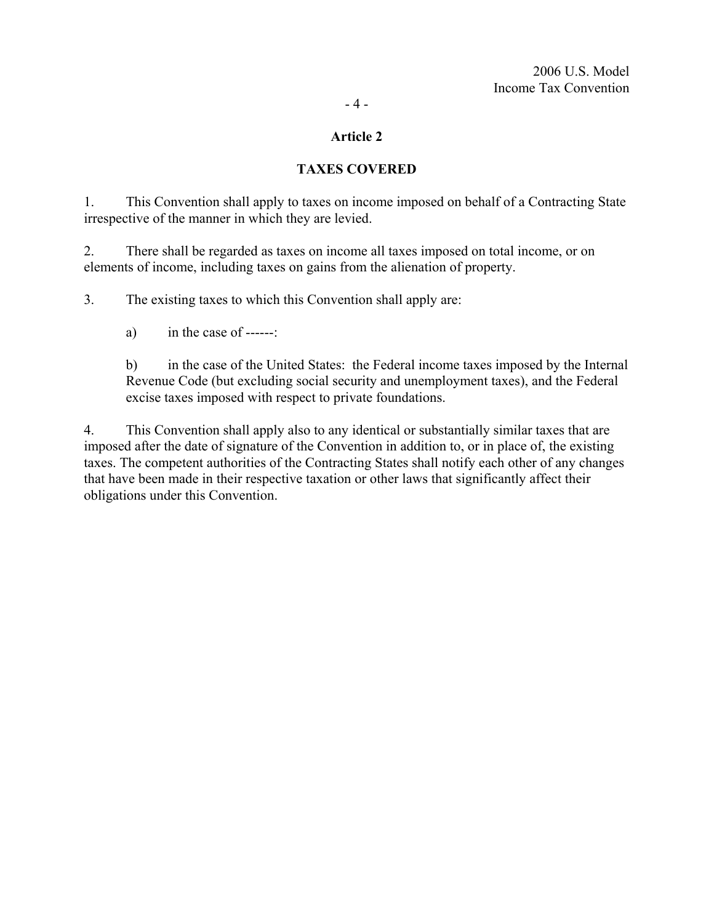# - 4 -

#### **Article 2**

#### **TAXES COVERED**

1. This Convention shall apply to taxes on income imposed on behalf of a Contracting State irrespective of the manner in which they are levied.

2. There shall be regarded as taxes on income all taxes imposed on total income, or on elements of income, including taxes on gains from the alienation of property.

3. The existing taxes to which this Convention shall apply are:

a) in the case of  $---$ :

b) in the case of the United States: the Federal income taxes imposed by the Internal Revenue Code (but excluding social security and unemployment taxes), and the Federal excise taxes imposed with respect to private foundations.

4. This Convention shall apply also to any identical or substantially similar taxes that are imposed after the date of signature of the Convention in addition to, or in place of, the existing taxes. The competent authorities of the Contracting States shall notify each other of any changes that have been made in their respective taxation or other laws that significantly affect their obligations under this Convention.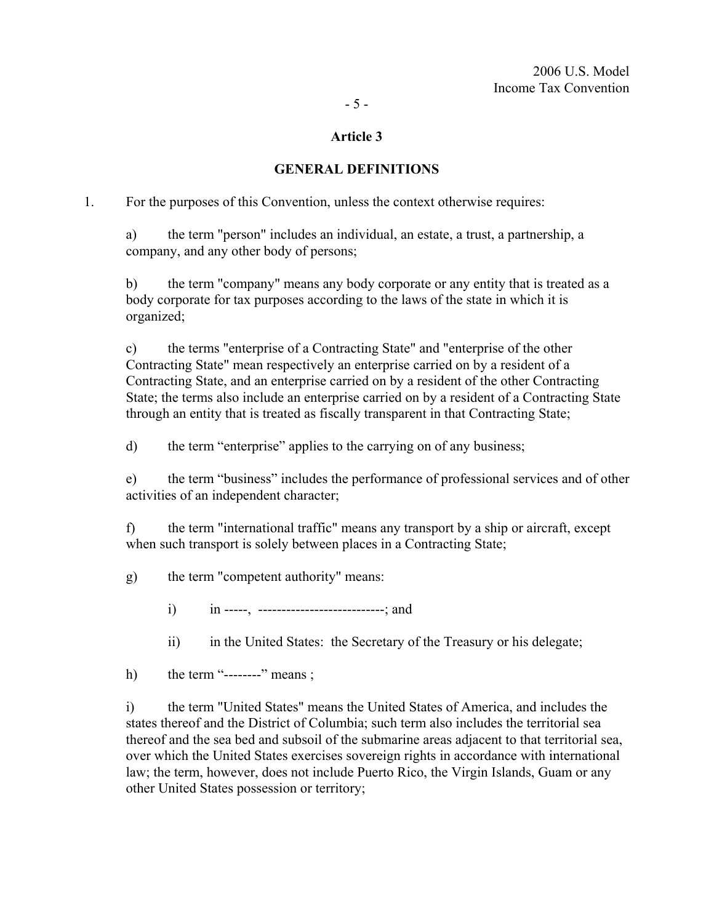#### **GENERAL DEFINITIONS**

1. For the purposes of this Convention, unless the context otherwise requires:

a) the term "person" includes an individual, an estate, a trust, a partnership, a company, and any other body of persons;

b) the term "company" means any body corporate or any entity that is treated as a body corporate for tax purposes according to the laws of the state in which it is organized;

c) the terms "enterprise of a Contracting State" and "enterprise of the other Contracting State" mean respectively an enterprise carried on by a resident of a Contracting State, and an enterprise carried on by a resident of the other Contracting State; the terms also include an enterprise carried on by a resident of a Contracting State through an entity that is treated as fiscally transparent in that Contracting State;

d) the term "enterprise" applies to the carrying on of any business;

e) the term "business" includes the performance of professional services and of other activities of an independent character;

f) the term "international traffic" means any transport by a ship or aircraft, except when such transport is solely between places in a Contracting State;

g) the term "competent authority" means:

i) in -----, ---------------------------; and

ii) in the United States: the Secretary of the Treasury or his delegate;

h) the term "--------" means ;

i) the term "United States" means the United States of America, and includes the states thereof and the District of Columbia; such term also includes the territorial sea thereof and the sea bed and subsoil of the submarine areas adjacent to that territorial sea, over which the United States exercises sovereign rights in accordance with international law; the term, however, does not include Puerto Rico, the Virgin Islands, Guam or any other United States possession or territory;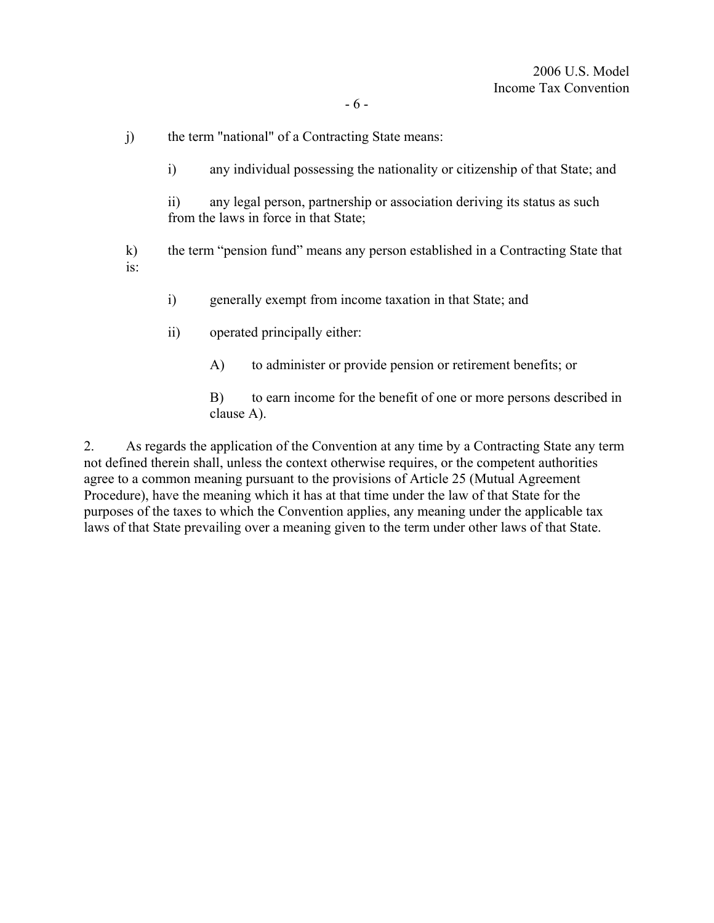j) the term "national" of a Contracting State means:

i) any individual possessing the nationality or citizenship of that State; and

ii) any legal person, partnership or association deriving its status as such from the laws in force in that State;

k) the term "pension fund" means any person established in a Contracting State that is:

- i) generally exempt from income taxation in that State; and
- ii) operated principally either:
	- A) to administer or provide pension or retirement benefits; or

B) to earn income for the benefit of one or more persons described in clause A).

2. As regards the application of the Convention at any time by a Contracting State any term not defined therein shall, unless the context otherwise requires, or the competent authorities agree to a common meaning pursuant to the provisions of Article 25 (Mutual Agreement Procedure), have the meaning which it has at that time under the law of that State for the purposes of the taxes to which the Convention applies, any meaning under the applicable tax laws of that State prevailing over a meaning given to the term under other laws of that State.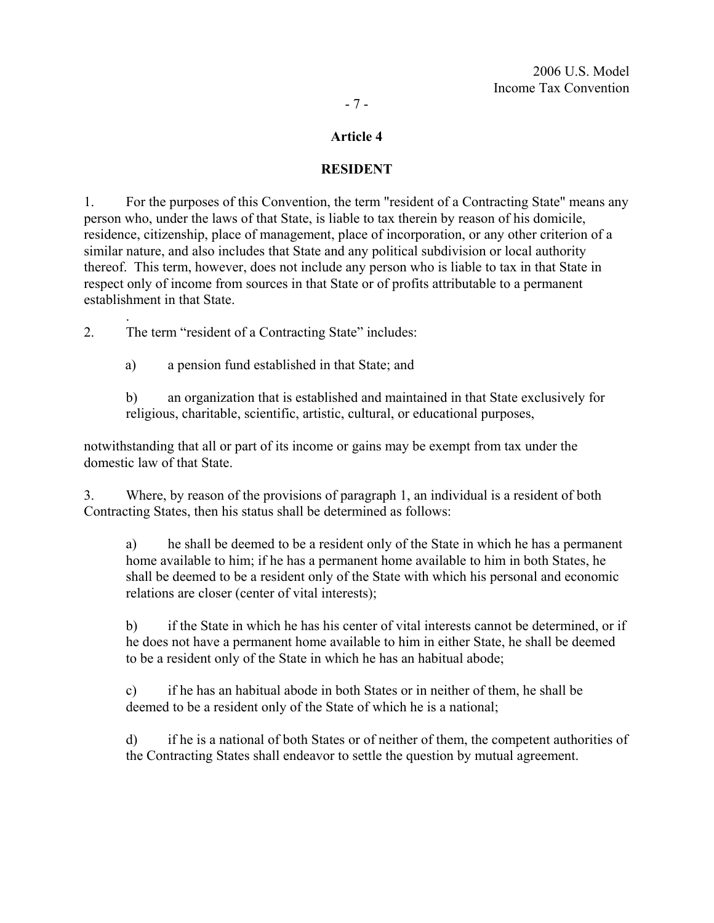## **RESIDENT**

1. For the purposes of this Convention, the term "resident of a Contracting State" means any person who, under the laws of that State, is liable to tax therein by reason of his domicile, residence, citizenship, place of management, place of incorporation, or any other criterion of a similar nature, and also includes that State and any political subdivision or local authority thereof. This term, however, does not include any person who is liable to tax in that State in respect only of income from sources in that State or of profits attributable to a permanent establishment in that State.

2. The term "resident of a Contracting State" includes:

.

a) a pension fund established in that State; and

b) an organization that is established and maintained in that State exclusively for religious, charitable, scientific, artistic, cultural, or educational purposes,

notwithstanding that all or part of its income or gains may be exempt from tax under the domestic law of that State.

3. Where, by reason of the provisions of paragraph 1, an individual is a resident of both Contracting States, then his status shall be determined as follows:

a) he shall be deemed to be a resident only of the State in which he has a permanent home available to him; if he has a permanent home available to him in both States, he shall be deemed to be a resident only of the State with which his personal and economic relations are closer (center of vital interests);

b) if the State in which he has his center of vital interests cannot be determined, or if he does not have a permanent home available to him in either State, he shall be deemed to be a resident only of the State in which he has an habitual abode;

c) if he has an habitual abode in both States or in neither of them, he shall be deemed to be a resident only of the State of which he is a national;

d) if he is a national of both States or of neither of them, the competent authorities of the Contracting States shall endeavor to settle the question by mutual agreement.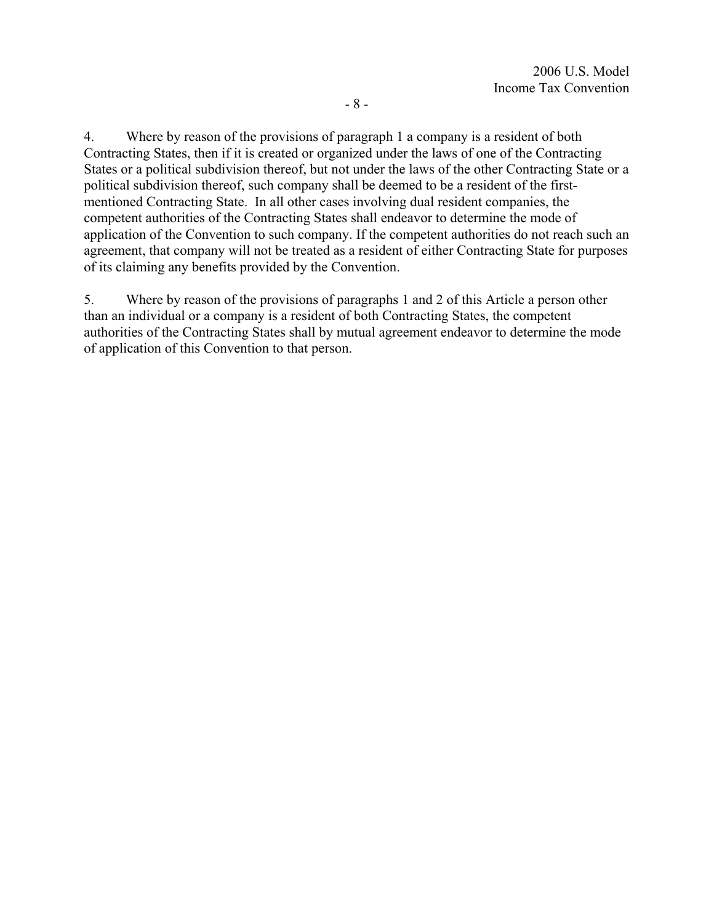4. Where by reason of the provisions of paragraph 1 a company is a resident of both Contracting States, then if it is created or organized under the laws of one of the Contracting States or a political subdivision thereof, but not under the laws of the other Contracting State or a political subdivision thereof, such company shall be deemed to be a resident of the firstmentioned Contracting State. In all other cases involving dual resident companies, the competent authorities of the Contracting States shall endeavor to determine the mode of application of the Convention to such company. If the competent authorities do not reach such an agreement, that company will not be treated as a resident of either Contracting State for purposes of its claiming any benefits provided by the Convention.

5. Where by reason of the provisions of paragraphs 1 and 2 of this Article a person other than an individual or a company is a resident of both Contracting States, the competent authorities of the Contracting States shall by mutual agreement endeavor to determine the mode of application of this Convention to that person.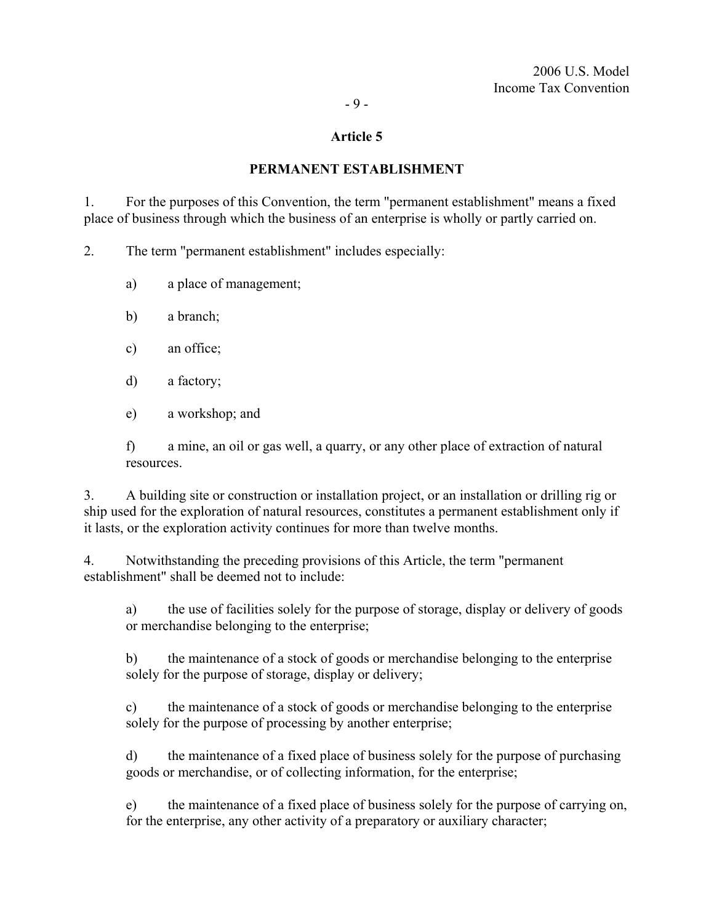## **PERMANENT ESTABLISHMENT**

1. For the purposes of this Convention, the term "permanent establishment" means a fixed place of business through which the business of an enterprise is wholly or partly carried on.

2. The term "permanent establishment" includes especially:

- a) a place of management;
- b) a branch;
- c) an office;
- d) a factory;
- e) a workshop; and

f) a mine, an oil or gas well, a quarry, or any other place of extraction of natural resources.

3. A building site or construction or installation project, or an installation or drilling rig or ship used for the exploration of natural resources, constitutes a permanent establishment only if it lasts, or the exploration activity continues for more than twelve months.

4. Notwithstanding the preceding provisions of this Article, the term "permanent establishment" shall be deemed not to include:

a) the use of facilities solely for the purpose of storage, display or delivery of goods or merchandise belonging to the enterprise;

b) the maintenance of a stock of goods or merchandise belonging to the enterprise solely for the purpose of storage, display or delivery;

c) the maintenance of a stock of goods or merchandise belonging to the enterprise solely for the purpose of processing by another enterprise;

d) the maintenance of a fixed place of business solely for the purpose of purchasing goods or merchandise, or of collecting information, for the enterprise;

e) the maintenance of a fixed place of business solely for the purpose of carrying on, for the enterprise, any other activity of a preparatory or auxiliary character;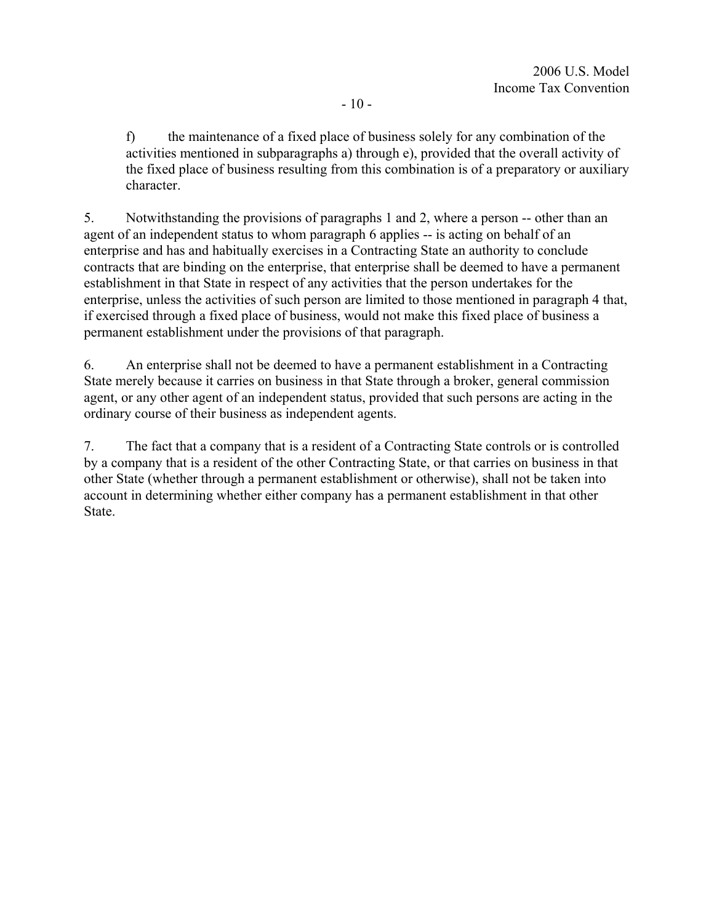f) the maintenance of a fixed place of business solely for any combination of the activities mentioned in subparagraphs a) through e), provided that the overall activity of the fixed place of business resulting from this combination is of a preparatory or auxiliary character.

5. Notwithstanding the provisions of paragraphs 1 and 2, where a person -- other than an agent of an independent status to whom paragraph 6 applies -- is acting on behalf of an enterprise and has and habitually exercises in a Contracting State an authority to conclude contracts that are binding on the enterprise, that enterprise shall be deemed to have a permanent establishment in that State in respect of any activities that the person undertakes for the enterprise, unless the activities of such person are limited to those mentioned in paragraph 4 that, if exercised through a fixed place of business, would not make this fixed place of business a permanent establishment under the provisions of that paragraph.

6. An enterprise shall not be deemed to have a permanent establishment in a Contracting State merely because it carries on business in that State through a broker, general commission agent, or any other agent of an independent status, provided that such persons are acting in the ordinary course of their business as independent agents.

7. The fact that a company that is a resident of a Contracting State controls or is controlled by a company that is a resident of the other Contracting State, or that carries on business in that other State (whether through a permanent establishment or otherwise), shall not be taken into account in determining whether either company has a permanent establishment in that other State.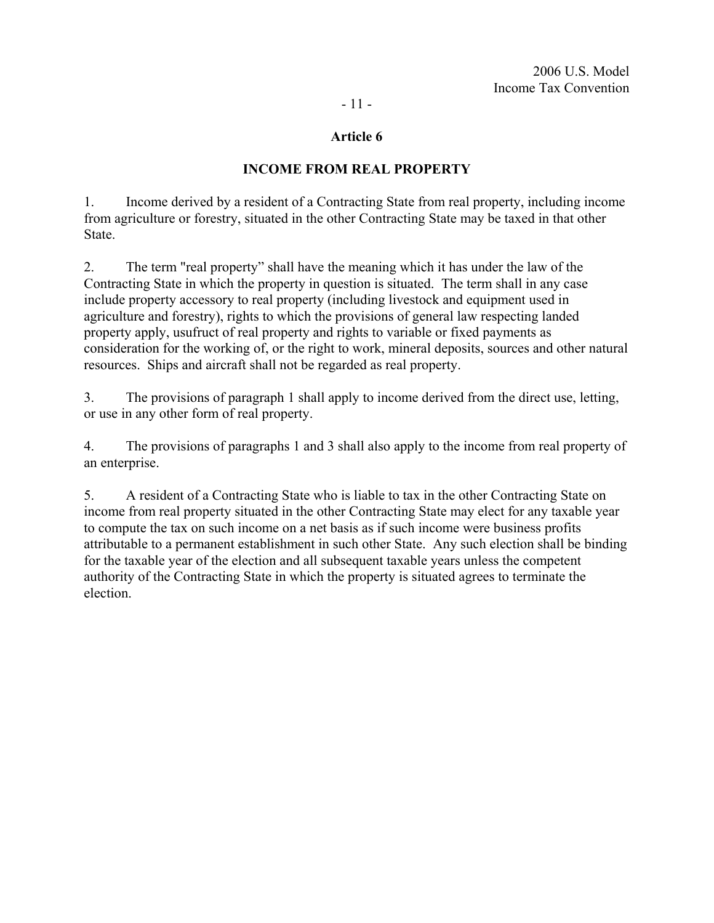## **INCOME FROM REAL PROPERTY**

1. Income derived by a resident of a Contracting State from real property, including income from agriculture or forestry, situated in the other Contracting State may be taxed in that other State.

2. The term "real property" shall have the meaning which it has under the law of the Contracting State in which the property in question is situated. The term shall in any case include property accessory to real property (including livestock and equipment used in agriculture and forestry), rights to which the provisions of general law respecting landed property apply, usufruct of real property and rights to variable or fixed payments as consideration for the working of, or the right to work, mineral deposits, sources and other natural resources. Ships and aircraft shall not be regarded as real property.

3. The provisions of paragraph 1 shall apply to income derived from the direct use, letting, or use in any other form of real property.

4. The provisions of paragraphs 1 and 3 shall also apply to the income from real property of an enterprise.

5. A resident of a Contracting State who is liable to tax in the other Contracting State on income from real property situated in the other Contracting State may elect for any taxable year to compute the tax on such income on a net basis as if such income were business profits attributable to a permanent establishment in such other State. Any such election shall be binding for the taxable year of the election and all subsequent taxable years unless the competent authority of the Contracting State in which the property is situated agrees to terminate the election.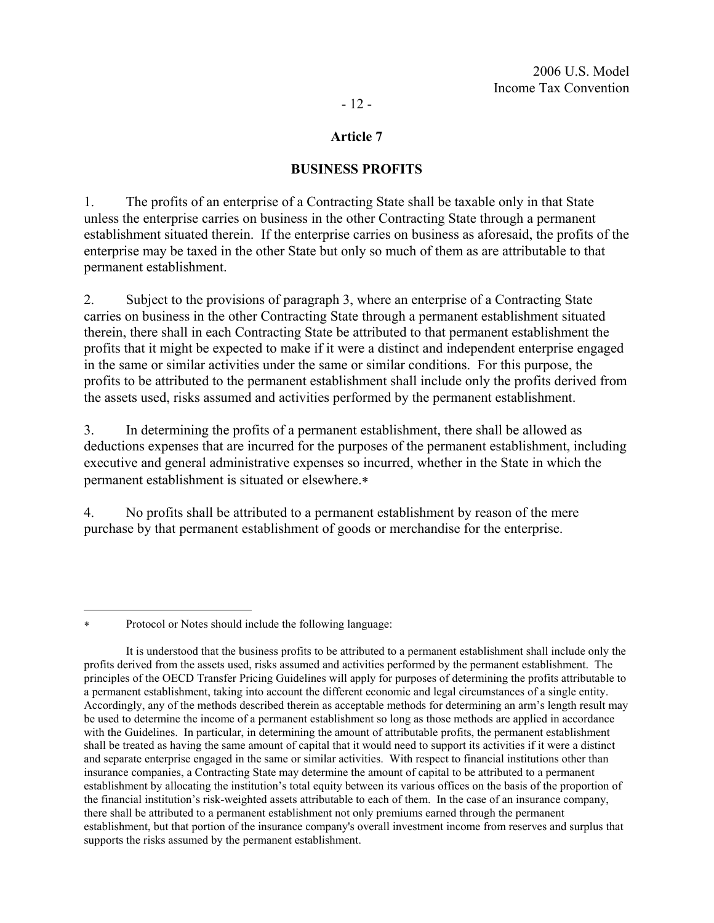## **BUSINESS PROFITS**

1. The profits of an enterprise of a Contracting State shall be taxable only in that State unless the enterprise carries on business in the other Contracting State through a permanent establishment situated therein. If the enterprise carries on business as aforesaid, the profits of the enterprise may be taxed in the other State but only so much of them as are attributable to that permanent establishment.

2. Subject to the provisions of paragraph 3, where an enterprise of a Contracting State carries on business in the other Contracting State through a permanent establishment situated therein, there shall in each Contracting State be attributed to that permanent establishment the profits that it might be expected to make if it were a distinct and independent enterprise engaged in the same or similar activities under the same or similar conditions. For this purpose, the profits to be attributed to the permanent establishment shall include only the profits derived from the assets used, risks assumed and activities performed by the permanent establishment.

3. In determining the profits of a permanent establishment, there shall be allowed as deductions expenses that are incurred for the purposes of the permanent establishment, including executive and general administrative expenses so incurred, whether in the State in which the permanent establishment is situated or elsewhere.∗

4. No profits shall be attributed to a permanent establishment by reason of the mere purchase by that permanent establishment of goods or merchandise for the enterprise.

<sup>∗</sup> Protocol or Notes should include the following language:

It is understood that the business profits to be attributed to a permanent establishment shall include only the profits derived from the assets used, risks assumed and activities performed by the permanent establishment. The principles of the OECD Transfer Pricing Guidelines will apply for purposes of determining the profits attributable to a permanent establishment, taking into account the different economic and legal circumstances of a single entity. Accordingly, any of the methods described therein as acceptable methods for determining an arm's length result may be used to determine the income of a permanent establishment so long as those methods are applied in accordance with the Guidelines. In particular, in determining the amount of attributable profits, the permanent establishment shall be treated as having the same amount of capital that it would need to support its activities if it were a distinct and separate enterprise engaged in the same or similar activities. With respect to financial institutions other than insurance companies, a Contracting State may determine the amount of capital to be attributed to a permanent establishment by allocating the institution's total equity between its various offices on the basis of the proportion of the financial institution's risk-weighted assets attributable to each of them. In the case of an insurance company, there shall be attributed to a permanent establishment not only premiums earned through the permanent establishment, but that portion of the insurance company's overall investment income from reserves and surplus that supports the risks assumed by the permanent establishment.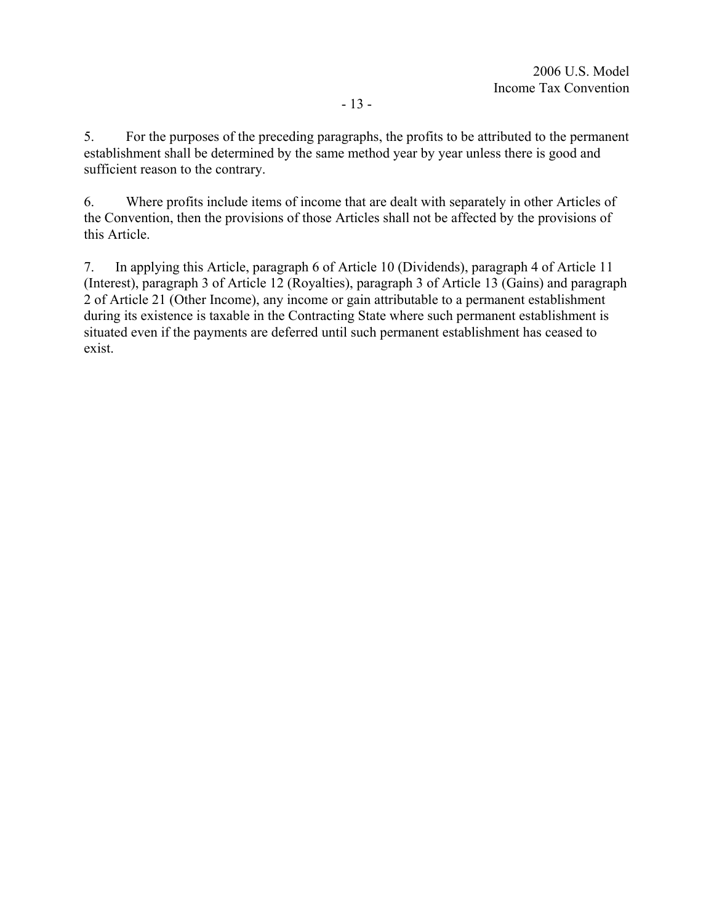5. For the purposes of the preceding paragraphs, the profits to be attributed to the permanent establishment shall be determined by the same method year by year unless there is good and sufficient reason to the contrary.

6. Where profits include items of income that are dealt with separately in other Articles of the Convention, then the provisions of those Articles shall not be affected by the provisions of this Article.

7. In applying this Article, paragraph 6 of Article 10 (Dividends), paragraph 4 of Article 11 (Interest), paragraph 3 of Article 12 (Royalties), paragraph 3 of Article 13 (Gains) and paragraph 2 of Article 21 (Other Income), any income or gain attributable to a permanent establishment during its existence is taxable in the Contracting State where such permanent establishment is situated even if the payments are deferred until such permanent establishment has ceased to exist.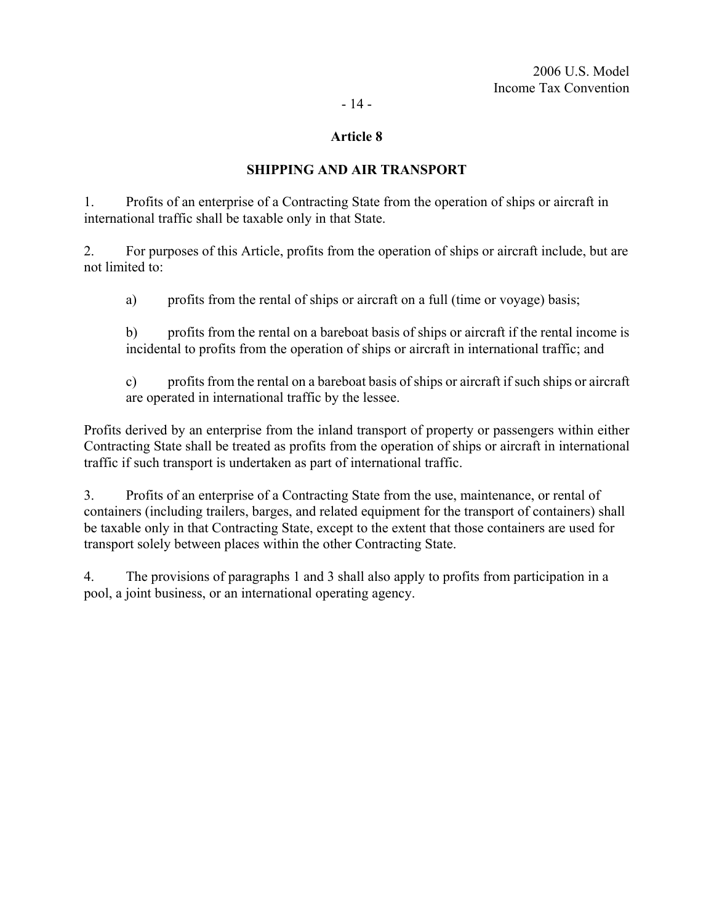## **SHIPPING AND AIR TRANSPORT**

1. Profits of an enterprise of a Contracting State from the operation of ships or aircraft in international traffic shall be taxable only in that State.

2. For purposes of this Article, profits from the operation of ships or aircraft include, but are not limited to:

a) profits from the rental of ships or aircraft on a full (time or voyage) basis;

b) profits from the rental on a bareboat basis of ships or aircraft if the rental income is incidental to profits from the operation of ships or aircraft in international traffic; and

c) profits from the rental on a bareboat basis of ships or aircraft if such ships or aircraft are operated in international traffic by the lessee.

Profits derived by an enterprise from the inland transport of property or passengers within either Contracting State shall be treated as profits from the operation of ships or aircraft in international traffic if such transport is undertaken as part of international traffic.

3. Profits of an enterprise of a Contracting State from the use, maintenance, or rental of containers (including trailers, barges, and related equipment for the transport of containers) shall be taxable only in that Contracting State, except to the extent that those containers are used for transport solely between places within the other Contracting State.

4. The provisions of paragraphs 1 and 3 shall also apply to profits from participation in a pool, a joint business, or an international operating agency.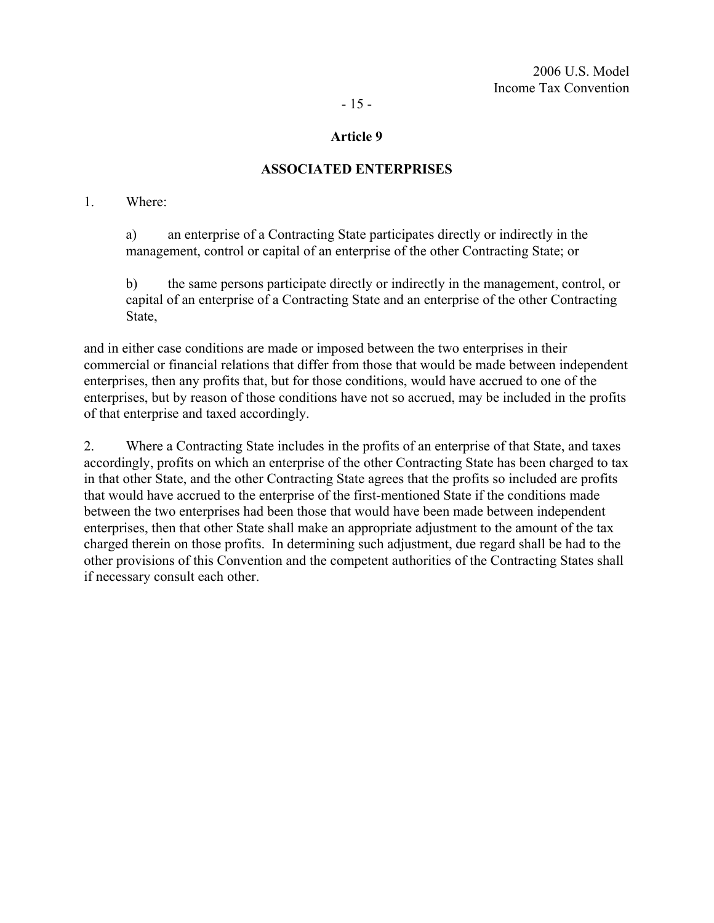#### **ASSOCIATED ENTERPRISES**

#### 1. Where:

a) an enterprise of a Contracting State participates directly or indirectly in the management, control or capital of an enterprise of the other Contracting State; or

b) the same persons participate directly or indirectly in the management, control, or capital of an enterprise of a Contracting State and an enterprise of the other Contracting State,

and in either case conditions are made or imposed between the two enterprises in their commercial or financial relations that differ from those that would be made between independent enterprises, then any profits that, but for those conditions, would have accrued to one of the enterprises, but by reason of those conditions have not so accrued, may be included in the profits of that enterprise and taxed accordingly.

2. Where a Contracting State includes in the profits of an enterprise of that State, and taxes accordingly, profits on which an enterprise of the other Contracting State has been charged to tax in that other State, and the other Contracting State agrees that the profits so included are profits that would have accrued to the enterprise of the first-mentioned State if the conditions made between the two enterprises had been those that would have been made between independent enterprises, then that other State shall make an appropriate adjustment to the amount of the tax charged therein on those profits. In determining such adjustment, due regard shall be had to the other provisions of this Convention and the competent authorities of the Contracting States shall if necessary consult each other.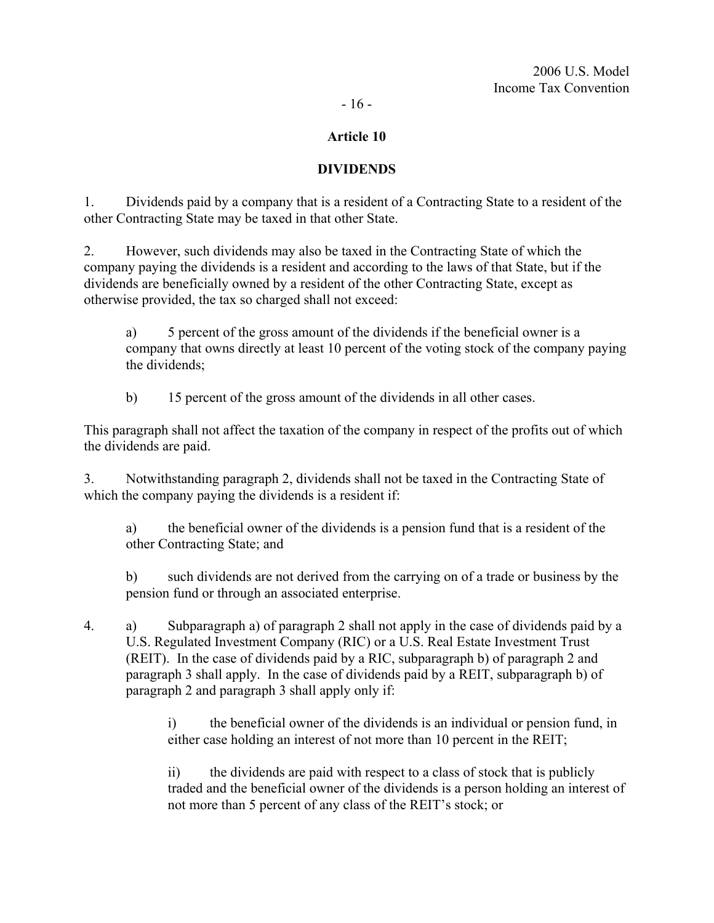#### **DIVIDENDS**

1. Dividends paid by a company that is a resident of a Contracting State to a resident of the other Contracting State may be taxed in that other State.

2. However, such dividends may also be taxed in the Contracting State of which the company paying the dividends is a resident and according to the laws of that State, but if the dividends are beneficially owned by a resident of the other Contracting State, except as otherwise provided, the tax so charged shall not exceed:

a) 5 percent of the gross amount of the dividends if the beneficial owner is a company that owns directly at least 10 percent of the voting stock of the company paying the dividends;

b) 15 percent of the gross amount of the dividends in all other cases.

This paragraph shall not affect the taxation of the company in respect of the profits out of which the dividends are paid.

3. Notwithstanding paragraph 2, dividends shall not be taxed in the Contracting State of which the company paying the dividends is a resident if:

a) the beneficial owner of the dividends is a pension fund that is a resident of the other Contracting State; and

b) such dividends are not derived from the carrying on of a trade or business by the pension fund or through an associated enterprise.

4. a) Subparagraph a) of paragraph 2 shall not apply in the case of dividends paid by a U.S. Regulated Investment Company (RIC) or a U.S. Real Estate Investment Trust (REIT). In the case of dividends paid by a RIC, subparagraph b) of paragraph 2 and paragraph 3 shall apply. In the case of dividends paid by a REIT, subparagraph b) of paragraph 2 and paragraph 3 shall apply only if:

> i) the beneficial owner of the dividends is an individual or pension fund, in either case holding an interest of not more than 10 percent in the REIT;

ii) the dividends are paid with respect to a class of stock that is publicly traded and the beneficial owner of the dividends is a person holding an interest of not more than 5 percent of any class of the REIT's stock; or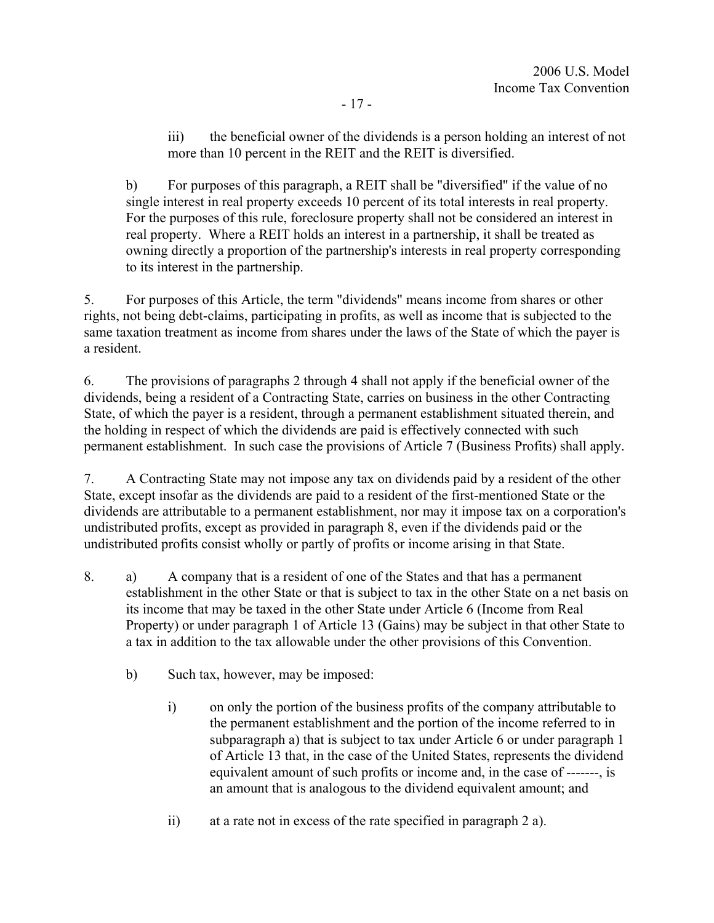iii) the beneficial owner of the dividends is a person holding an interest of not more than 10 percent in the REIT and the REIT is diversified.

b) For purposes of this paragraph, a REIT shall be "diversified" if the value of no single interest in real property exceeds 10 percent of its total interests in real property. For the purposes of this rule, foreclosure property shall not be considered an interest in real property. Where a REIT holds an interest in a partnership, it shall be treated as owning directly a proportion of the partnership's interests in real property corresponding to its interest in the partnership.

5. For purposes of this Article, the term "dividends" means income from shares or other rights, not being debt-claims, participating in profits, as well as income that is subjected to the same taxation treatment as income from shares under the laws of the State of which the payer is a resident.

6. The provisions of paragraphs 2 through 4 shall not apply if the beneficial owner of the dividends, being a resident of a Contracting State, carries on business in the other Contracting State, of which the payer is a resident, through a permanent establishment situated therein, and the holding in respect of which the dividends are paid is effectively connected with such permanent establishment. In such case the provisions of Article 7 (Business Profits) shall apply.

7. A Contracting State may not impose any tax on dividends paid by a resident of the other State, except insofar as the dividends are paid to a resident of the first-mentioned State or the dividends are attributable to a permanent establishment, nor may it impose tax on a corporation's undistributed profits, except as provided in paragraph 8, even if the dividends paid or the undistributed profits consist wholly or partly of profits or income arising in that State.

- 8. a) A company that is a resident of one of the States and that has a permanent establishment in the other State or that is subject to tax in the other State on a net basis on its income that may be taxed in the other State under Article 6 (Income from Real Property) or under paragraph 1 of Article 13 (Gains) may be subject in that other State to a tax in addition to the tax allowable under the other provisions of this Convention.
	- b) Such tax, however, may be imposed:
		- i) on only the portion of the business profits of the company attributable to the permanent establishment and the portion of the income referred to in subparagraph a) that is subject to tax under Article 6 or under paragraph 1 of Article 13 that, in the case of the United States, represents the dividend equivalent amount of such profits or income and, in the case of -------, is an amount that is analogous to the dividend equivalent amount; and
		- ii) at a rate not in excess of the rate specified in paragraph 2 a).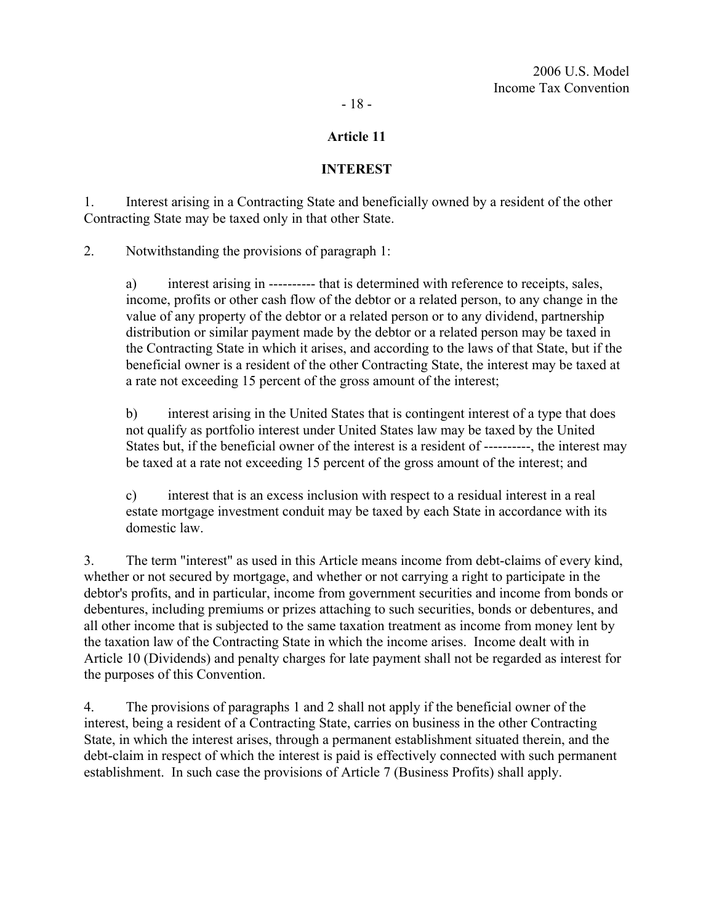#### **INTEREST**

1. Interest arising in a Contracting State and beneficially owned by a resident of the other Contracting State may be taxed only in that other State.

2. Notwithstanding the provisions of paragraph 1:

a) interest arising in ---------- that is determined with reference to receipts, sales, income, profits or other cash flow of the debtor or a related person, to any change in the value of any property of the debtor or a related person or to any dividend, partnership distribution or similar payment made by the debtor or a related person may be taxed in the Contracting State in which it arises, and according to the laws of that State, but if the beneficial owner is a resident of the other Contracting State, the interest may be taxed at a rate not exceeding 15 percent of the gross amount of the interest;

b) interest arising in the United States that is contingent interest of a type that does not qualify as portfolio interest under United States law may be taxed by the United States but, if the beneficial owner of the interest is a resident of ----------, the interest may be taxed at a rate not exceeding 15 percent of the gross amount of the interest; and

c) interest that is an excess inclusion with respect to a residual interest in a real estate mortgage investment conduit may be taxed by each State in accordance with its domestic law.

3. The term "interest" as used in this Article means income from debt-claims of every kind, whether or not secured by mortgage, and whether or not carrying a right to participate in the debtor's profits, and in particular, income from government securities and income from bonds or debentures, including premiums or prizes attaching to such securities, bonds or debentures, and all other income that is subjected to the same taxation treatment as income from money lent by the taxation law of the Contracting State in which the income arises. Income dealt with in Article 10 (Dividends) and penalty charges for late payment shall not be regarded as interest for the purposes of this Convention.

4. The provisions of paragraphs 1 and 2 shall not apply if the beneficial owner of the interest, being a resident of a Contracting State, carries on business in the other Contracting State, in which the interest arises, through a permanent establishment situated therein, and the debt-claim in respect of which the interest is paid is effectively connected with such permanent establishment. In such case the provisions of Article 7 (Business Profits) shall apply.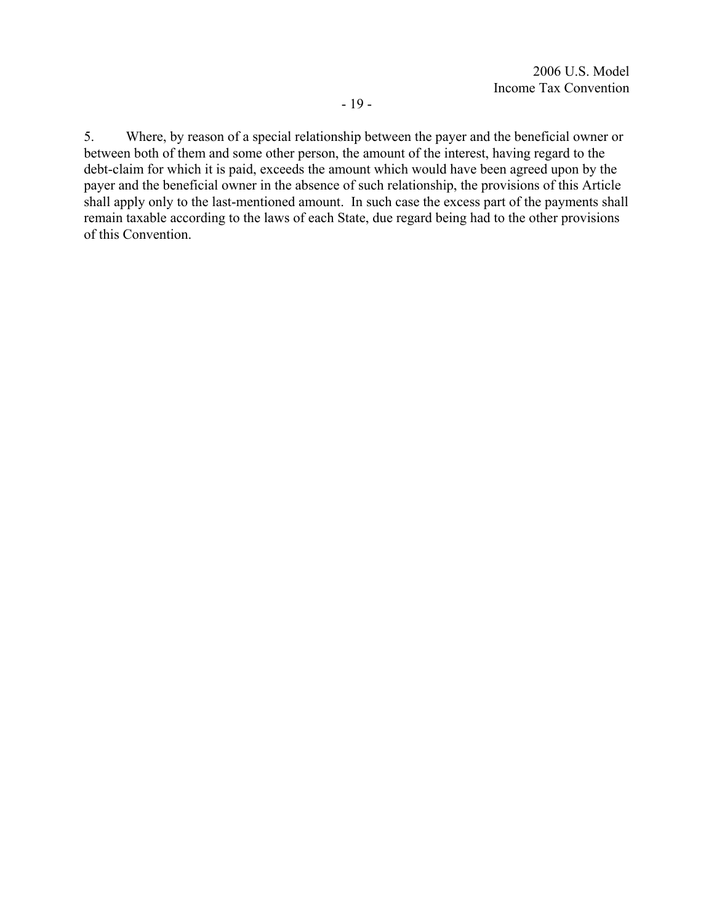5. Where, by reason of a special relationship between the payer and the beneficial owner or between both of them and some other person, the amount of the interest, having regard to the debt-claim for which it is paid, exceeds the amount which would have been agreed upon by the payer and the beneficial owner in the absence of such relationship, the provisions of this Article shall apply only to the last-mentioned amount. In such case the excess part of the payments shall remain taxable according to the laws of each State, due regard being had to the other provisions of this Convention.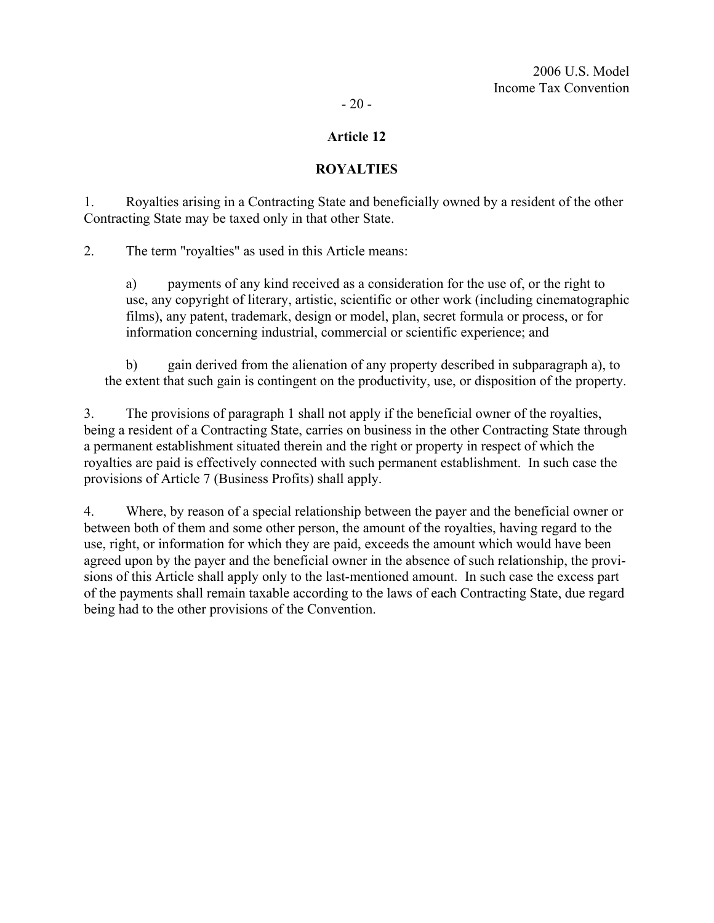$-20-$ 

## **Article 12**

# **ROYALTIES**

1. Royalties arising in a Contracting State and beneficially owned by a resident of the other Contracting State may be taxed only in that other State.

2. The term "royalties" as used in this Article means:

a) payments of any kind received as a consideration for the use of, or the right to use, any copyright of literary, artistic, scientific or other work (including cinematographic films), any patent, trademark, design or model, plan, secret formula or process, or for information concerning industrial, commercial or scientific experience; and

b) gain derived from the alienation of any property described in subparagraph a), to the extent that such gain is contingent on the productivity, use, or disposition of the property.

3. The provisions of paragraph 1 shall not apply if the beneficial owner of the royalties, being a resident of a Contracting State, carries on business in the other Contracting State through a permanent establishment situated therein and the right or property in respect of which the royalties are paid is effectively connected with such permanent establishment. In such case the provisions of Article 7 (Business Profits) shall apply.

4. Where, by reason of a special relationship between the payer and the beneficial owner or between both of them and some other person, the amount of the royalties, having regard to the use, right, or information for which they are paid, exceeds the amount which would have been agreed upon by the payer and the beneficial owner in the absence of such relationship, the provisions of this Article shall apply only to the last-mentioned amount. In such case the excess part of the payments shall remain taxable according to the laws of each Contracting State, due regard being had to the other provisions of the Convention.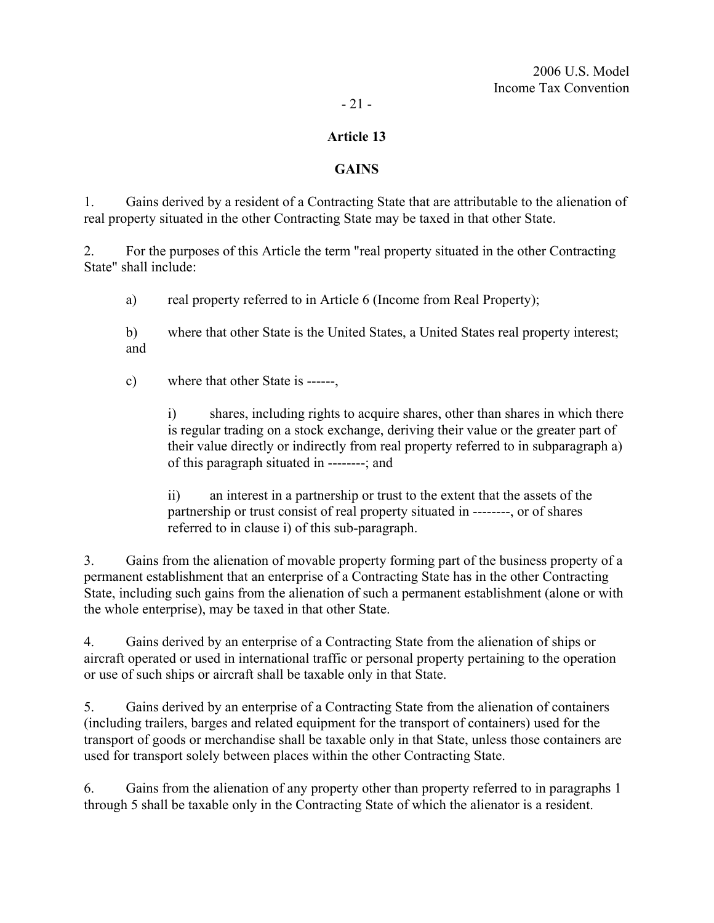#### **GAINS**

1. Gains derived by a resident of a Contracting State that are attributable to the alienation of real property situated in the other Contracting State may be taxed in that other State.

2. For the purposes of this Article the term "real property situated in the other Contracting State" shall include:

a) real property referred to in Article 6 (Income from Real Property);

b) where that other State is the United States, a United States real property interest; and

c) where that other State is ------,

i) shares, including rights to acquire shares, other than shares in which there is regular trading on a stock exchange, deriving their value or the greater part of their value directly or indirectly from real property referred to in subparagraph a) of this paragraph situated in --------; and

ii) an interest in a partnership or trust to the extent that the assets of the partnership or trust consist of real property situated in --------, or of shares referred to in clause i) of this sub-paragraph.

3. Gains from the alienation of movable property forming part of the business property of a permanent establishment that an enterprise of a Contracting State has in the other Contracting State, including such gains from the alienation of such a permanent establishment (alone or with the whole enterprise), may be taxed in that other State.

4. Gains derived by an enterprise of a Contracting State from the alienation of ships or aircraft operated or used in international traffic or personal property pertaining to the operation or use of such ships or aircraft shall be taxable only in that State.

5. Gains derived by an enterprise of a Contracting State from the alienation of containers (including trailers, barges and related equipment for the transport of containers) used for the transport of goods or merchandise shall be taxable only in that State, unless those containers are used for transport solely between places within the other Contracting State.

6. Gains from the alienation of any property other than property referred to in paragraphs 1 through 5 shall be taxable only in the Contracting State of which the alienator is a resident.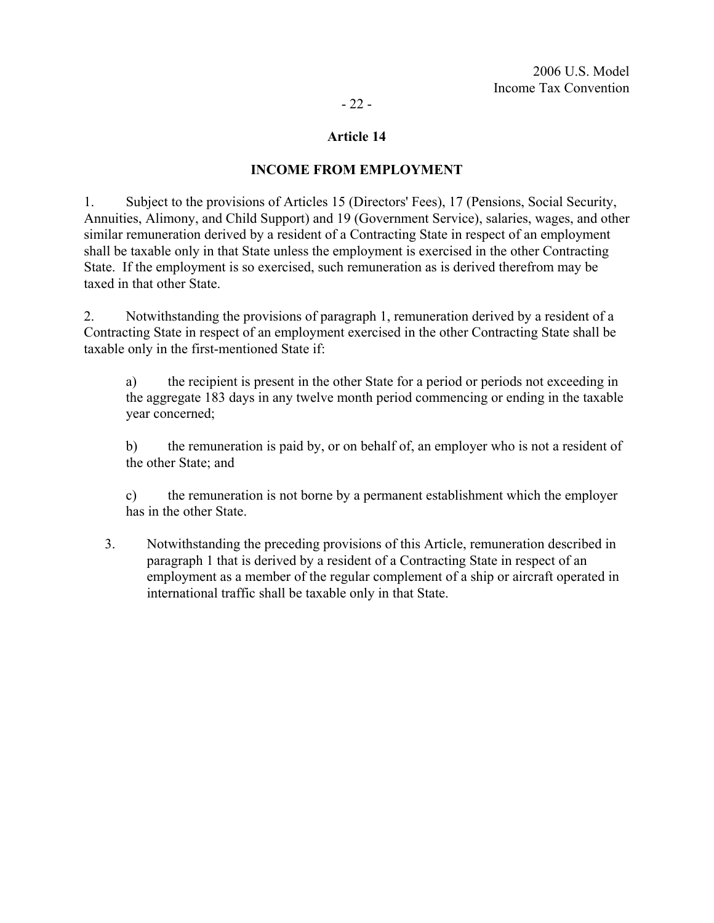#### **INCOME FROM EMPLOYMENT**

1. Subject to the provisions of Articles 15 (Directors' Fees), 17 (Pensions, Social Security, Annuities, Alimony, and Child Support) and 19 (Government Service), salaries, wages, and other similar remuneration derived by a resident of a Contracting State in respect of an employment shall be taxable only in that State unless the employment is exercised in the other Contracting State. If the employment is so exercised, such remuneration as is derived therefrom may be taxed in that other State.

2. Notwithstanding the provisions of paragraph 1, remuneration derived by a resident of a Contracting State in respect of an employment exercised in the other Contracting State shall be taxable only in the first-mentioned State if:

a) the recipient is present in the other State for a period or periods not exceeding in the aggregate 183 days in any twelve month period commencing or ending in the taxable year concerned;

b) the remuneration is paid by, or on behalf of, an employer who is not a resident of the other State; and

c) the remuneration is not borne by a permanent establishment which the employer has in the other State.

3. Notwithstanding the preceding provisions of this Article, remuneration described in paragraph 1 that is derived by a resident of a Contracting State in respect of an employment as a member of the regular complement of a ship or aircraft operated in international traffic shall be taxable only in that State.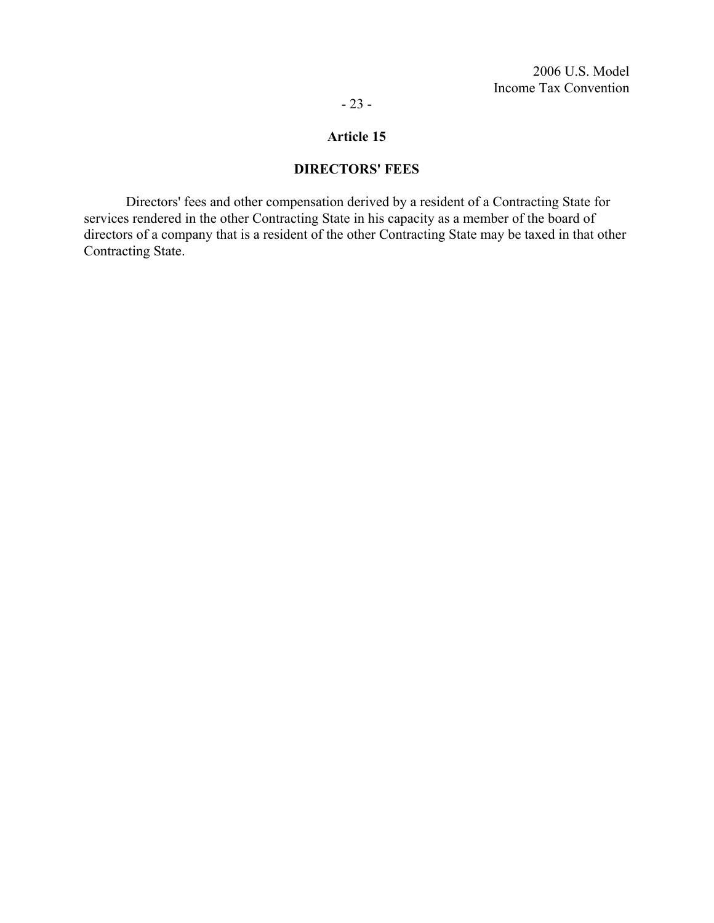# **DIRECTORS' FEES**

Directors' fees and other compensation derived by a resident of a Contracting State for services rendered in the other Contracting State in his capacity as a member of the board of directors of a company that is a resident of the other Contracting State may be taxed in that other Contracting State.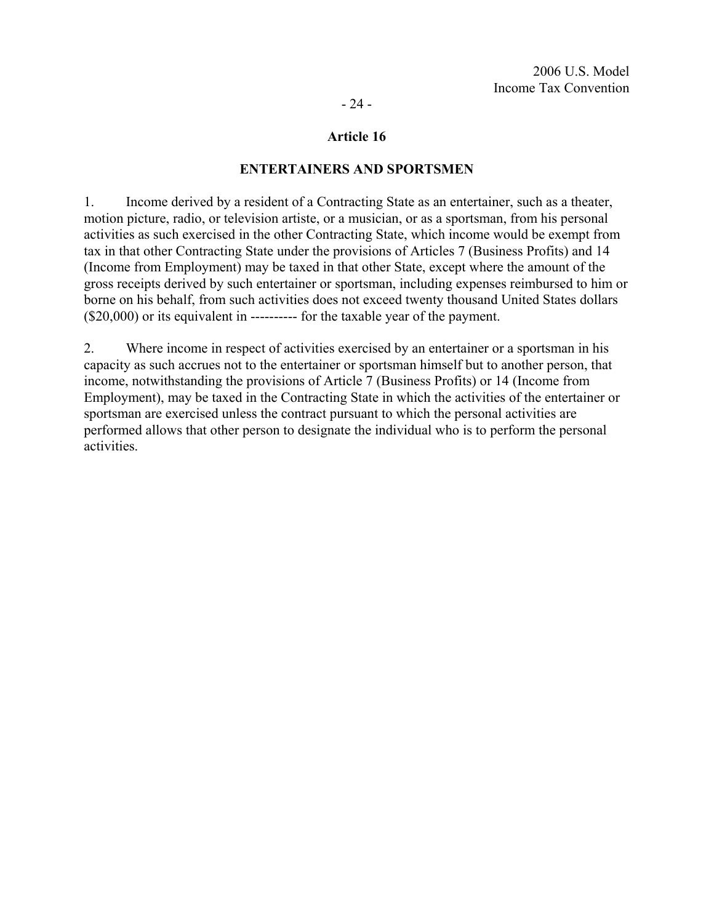#### **ENTERTAINERS AND SPORTSMEN**

1. Income derived by a resident of a Contracting State as an entertainer, such as a theater, motion picture, radio, or television artiste, or a musician, or as a sportsman, from his personal activities as such exercised in the other Contracting State, which income would be exempt from tax in that other Contracting State under the provisions of Articles 7 (Business Profits) and 14 (Income from Employment) may be taxed in that other State, except where the amount of the gross receipts derived by such entertainer or sportsman, including expenses reimbursed to him or borne on his behalf, from such activities does not exceed twenty thousand United States dollars (\$20,000) or its equivalent in ---------- for the taxable year of the payment.

2. Where income in respect of activities exercised by an entertainer or a sportsman in his capacity as such accrues not to the entertainer or sportsman himself but to another person, that income, notwithstanding the provisions of Article 7 (Business Profits) or 14 (Income from Employment), may be taxed in the Contracting State in which the activities of the entertainer or sportsman are exercised unless the contract pursuant to which the personal activities are performed allows that other person to designate the individual who is to perform the personal activities.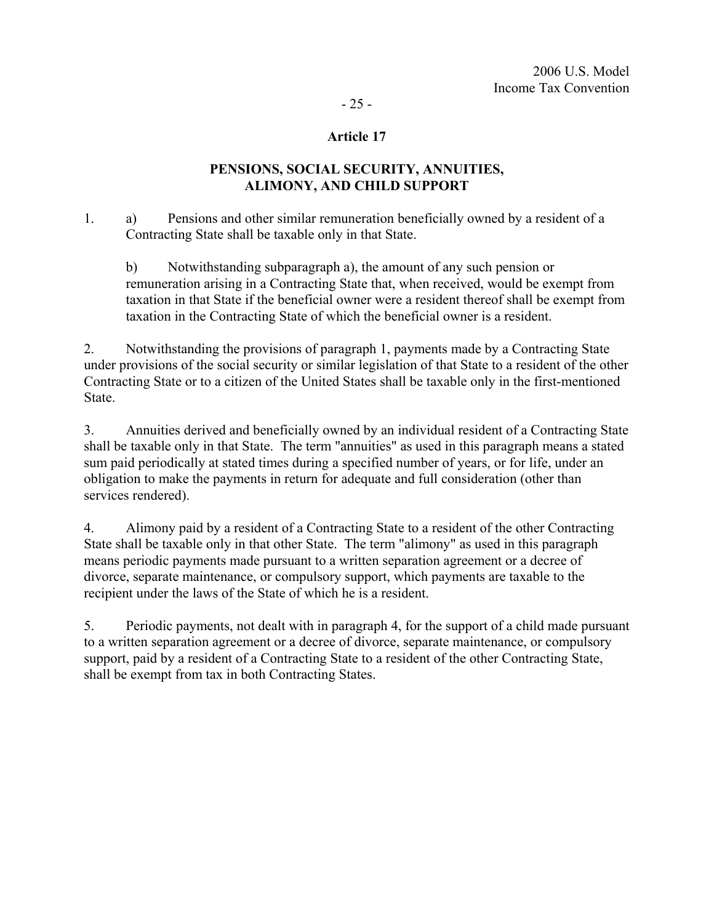- 25 -

# **Article 17**

# **PENSIONS, SOCIAL SECURITY, ANNUITIES, ALIMONY, AND CHILD SUPPORT**

1. a) Pensions and other similar remuneration beneficially owned by a resident of a Contracting State shall be taxable only in that State.

b) Notwithstanding subparagraph a), the amount of any such pension or remuneration arising in a Contracting State that, when received, would be exempt from taxation in that State if the beneficial owner were a resident thereof shall be exempt from taxation in the Contracting State of which the beneficial owner is a resident.

2. Notwithstanding the provisions of paragraph 1, payments made by a Contracting State under provisions of the social security or similar legislation of that State to a resident of the other Contracting State or to a citizen of the United States shall be taxable only in the first-mentioned State.

3. Annuities derived and beneficially owned by an individual resident of a Contracting State shall be taxable only in that State. The term "annuities" as used in this paragraph means a stated sum paid periodically at stated times during a specified number of years, or for life, under an obligation to make the payments in return for adequate and full consideration (other than services rendered).

4. Alimony paid by a resident of a Contracting State to a resident of the other Contracting State shall be taxable only in that other State. The term "alimony" as used in this paragraph means periodic payments made pursuant to a written separation agreement or a decree of divorce, separate maintenance, or compulsory support, which payments are taxable to the recipient under the laws of the State of which he is a resident.

5. Periodic payments, not dealt with in paragraph 4, for the support of a child made pursuant to a written separation agreement or a decree of divorce, separate maintenance, or compulsory support, paid by a resident of a Contracting State to a resident of the other Contracting State, shall be exempt from tax in both Contracting States.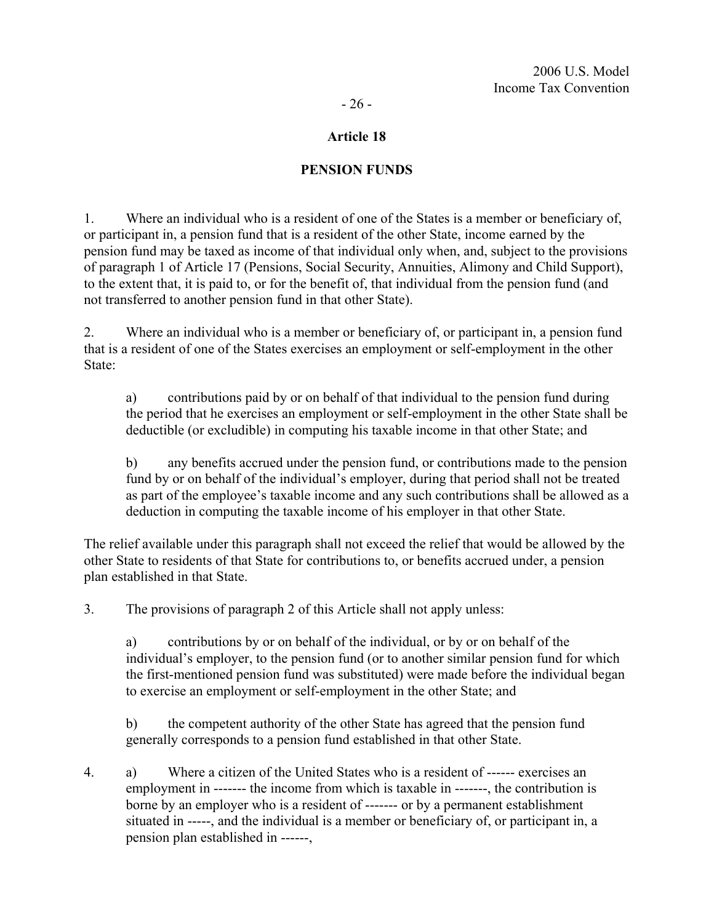- 26 -

## **Article 18**

## **PENSION FUNDS**

1. Where an individual who is a resident of one of the States is a member or beneficiary of, or participant in, a pension fund that is a resident of the other State, income earned by the pension fund may be taxed as income of that individual only when, and, subject to the provisions of paragraph 1 of Article 17 (Pensions, Social Security, Annuities, Alimony and Child Support), to the extent that, it is paid to, or for the benefit of, that individual from the pension fund (and not transferred to another pension fund in that other State).

2. Where an individual who is a member or beneficiary of, or participant in, a pension fund that is a resident of one of the States exercises an employment or self-employment in the other State:

a) contributions paid by or on behalf of that individual to the pension fund during the period that he exercises an employment or self-employment in the other State shall be deductible (or excludible) in computing his taxable income in that other State; and

b) any benefits accrued under the pension fund, or contributions made to the pension fund by or on behalf of the individual's employer, during that period shall not be treated as part of the employee's taxable income and any such contributions shall be allowed as a deduction in computing the taxable income of his employer in that other State.

The relief available under this paragraph shall not exceed the relief that would be allowed by the other State to residents of that State for contributions to, or benefits accrued under, a pension plan established in that State.

3. The provisions of paragraph 2 of this Article shall not apply unless:

a) contributions by or on behalf of the individual, or by or on behalf of the individual's employer, to the pension fund (or to another similar pension fund for which the first-mentioned pension fund was substituted) were made before the individual began to exercise an employment or self-employment in the other State; and

b) the competent authority of the other State has agreed that the pension fund generally corresponds to a pension fund established in that other State.

4. a) Where a citizen of the United States who is a resident of ------ exercises an employment in ------- the income from which is taxable in -------, the contribution is borne by an employer who is a resident of ------- or by a permanent establishment situated in -----, and the individual is a member or beneficiary of, or participant in, a pension plan established in ------,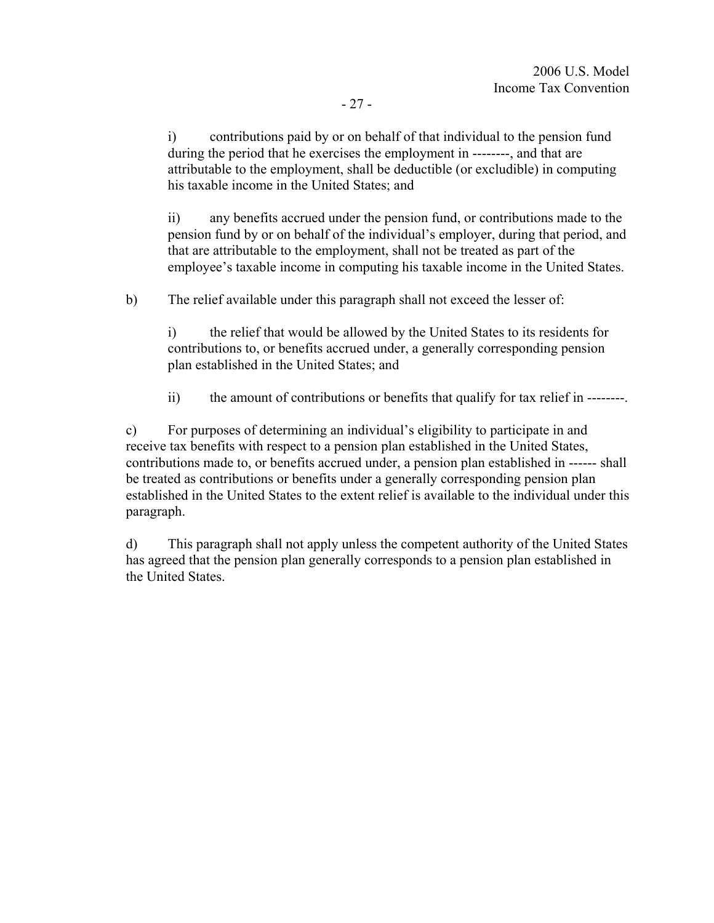i) contributions paid by or on behalf of that individual to the pension fund during the period that he exercises the employment in --------, and that are attributable to the employment, shall be deductible (or excludible) in computing his taxable income in the United States; and

ii) any benefits accrued under the pension fund, or contributions made to the pension fund by or on behalf of the individual's employer, during that period, and that are attributable to the employment, shall not be treated as part of the employee's taxable income in computing his taxable income in the United States.

b) The relief available under this paragraph shall not exceed the lesser of:

i) the relief that would be allowed by the United States to its residents for contributions to, or benefits accrued under, a generally corresponding pension plan established in the United States; and

ii) the amount of contributions or benefits that qualify for tax relief in --------.

c) For purposes of determining an individual's eligibility to participate in and receive tax benefits with respect to a pension plan established in the United States, contributions made to, or benefits accrued under, a pension plan established in ------ shall be treated as contributions or benefits under a generally corresponding pension plan established in the United States to the extent relief is available to the individual under this paragraph.

d) This paragraph shall not apply unless the competent authority of the United States has agreed that the pension plan generally corresponds to a pension plan established in the United States.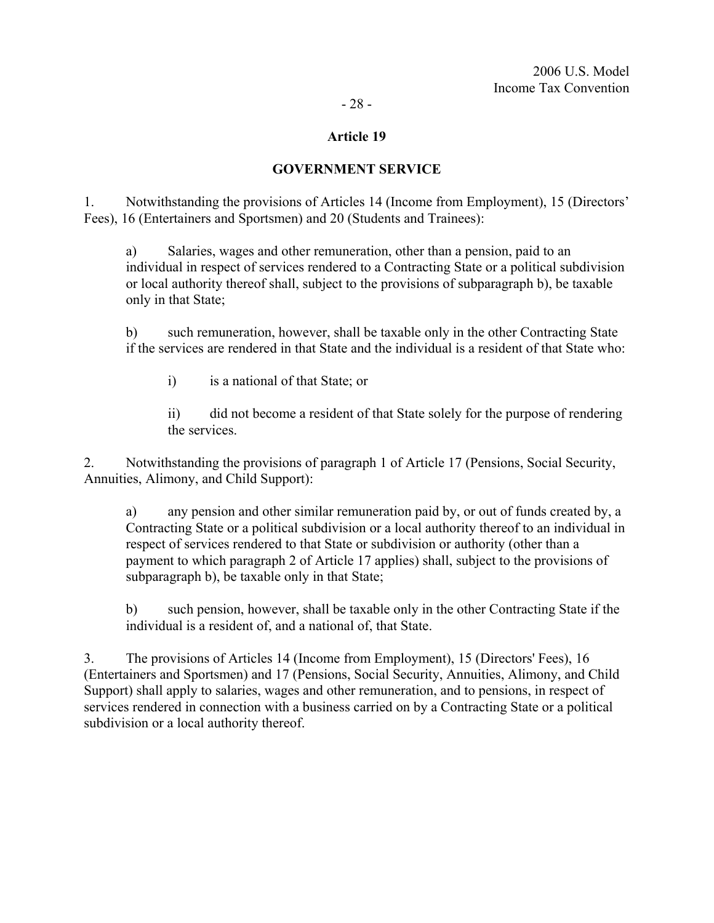## **GOVERNMENT SERVICE**

1. Notwithstanding the provisions of Articles 14 (Income from Employment), 15 (Directors' Fees), 16 (Entertainers and Sportsmen) and 20 (Students and Trainees):

a) Salaries, wages and other remuneration, other than a pension, paid to an individual in respect of services rendered to a Contracting State or a political subdivision or local authority thereof shall, subject to the provisions of subparagraph b), be taxable only in that State;

b) such remuneration, however, shall be taxable only in the other Contracting State if the services are rendered in that State and the individual is a resident of that State who:

i) is a national of that State; or

ii) did not become a resident of that State solely for the purpose of rendering the services.

2. Notwithstanding the provisions of paragraph 1 of Article 17 (Pensions, Social Security, Annuities, Alimony, and Child Support):

a) any pension and other similar remuneration paid by, or out of funds created by, a Contracting State or a political subdivision or a local authority thereof to an individual in respect of services rendered to that State or subdivision or authority (other than a payment to which paragraph 2 of Article 17 applies) shall, subject to the provisions of subparagraph b), be taxable only in that State;

b) such pension, however, shall be taxable only in the other Contracting State if the individual is a resident of, and a national of, that State.

3. The provisions of Articles 14 (Income from Employment), 15 (Directors' Fees), 16 (Entertainers and Sportsmen) and 17 (Pensions, Social Security, Annuities, Alimony, and Child Support) shall apply to salaries, wages and other remuneration, and to pensions, in respect of services rendered in connection with a business carried on by a Contracting State or a political subdivision or a local authority thereof.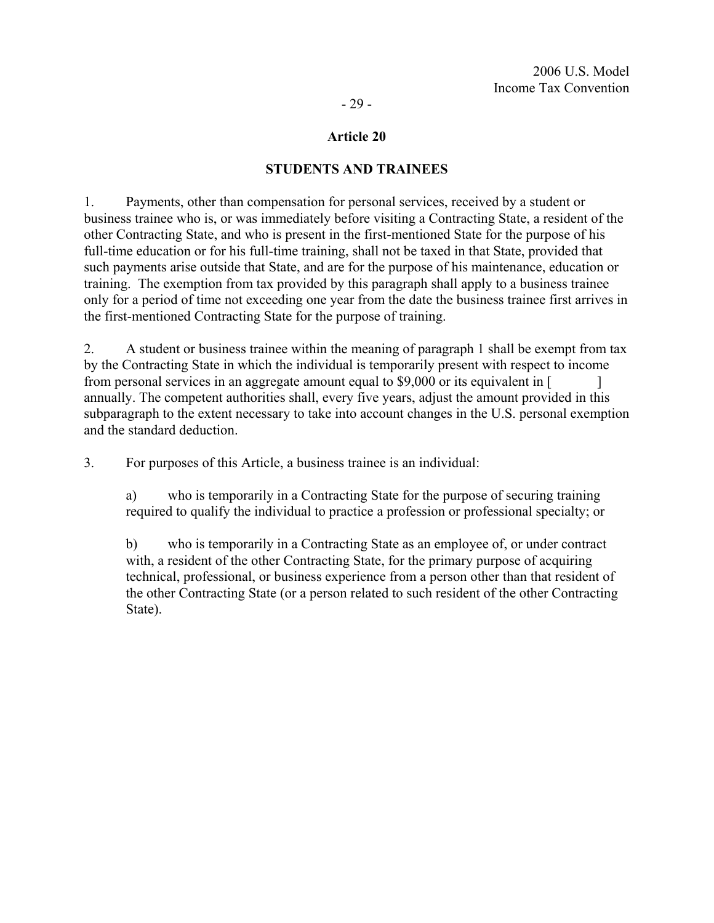## **STUDENTS AND TRAINEES**

1. Payments, other than compensation for personal services, received by a student or business trainee who is, or was immediately before visiting a Contracting State, a resident of the other Contracting State, and who is present in the first-mentioned State for the purpose of his full-time education or for his full-time training, shall not be taxed in that State, provided that such payments arise outside that State, and are for the purpose of his maintenance, education or training. The exemption from tax provided by this paragraph shall apply to a business trainee only for a period of time not exceeding one year from the date the business trainee first arrives in the first-mentioned Contracting State for the purpose of training.

2. A student or business trainee within the meaning of paragraph 1 shall be exempt from tax by the Contracting State in which the individual is temporarily present with respect to income from personal services in an aggregate amount equal to \$9,000 or its equivalent in [ ] annually. The competent authorities shall, every five years, adjust the amount provided in this subparagraph to the extent necessary to take into account changes in the U.S. personal exemption and the standard deduction.

3. For purposes of this Article, a business trainee is an individual:

a) who is temporarily in a Contracting State for the purpose of securing training required to qualify the individual to practice a profession or professional specialty; or

b) who is temporarily in a Contracting State as an employee of, or under contract with, a resident of the other Contracting State, for the primary purpose of acquiring technical, professional, or business experience from a person other than that resident of the other Contracting State (or a person related to such resident of the other Contracting State).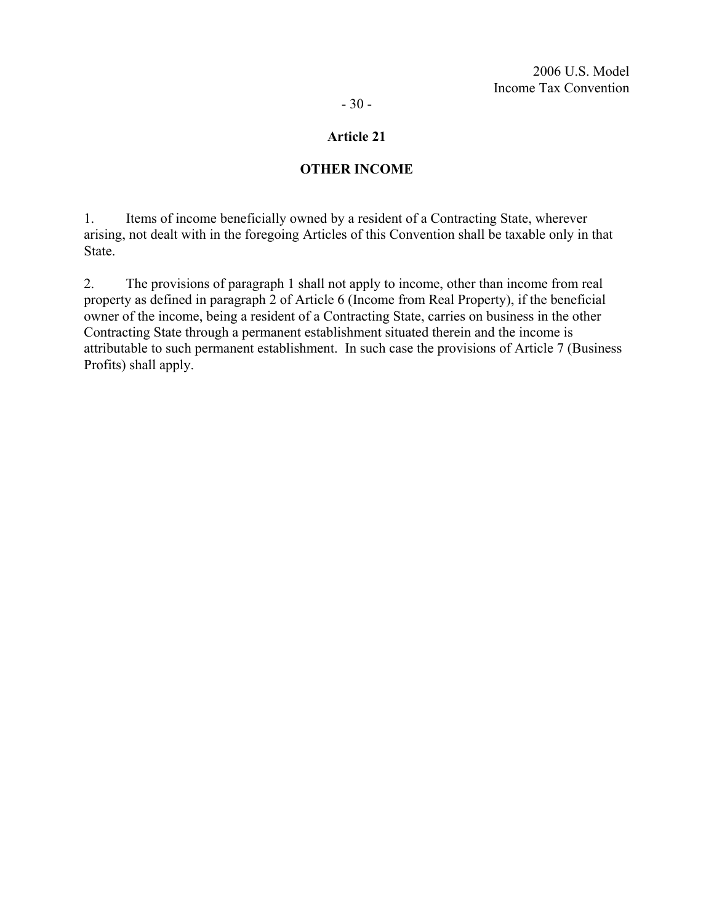$-30-$ 

## **Article 21**

#### **OTHER INCOME**

1. Items of income beneficially owned by a resident of a Contracting State, wherever arising, not dealt with in the foregoing Articles of this Convention shall be taxable only in that State.

2. The provisions of paragraph 1 shall not apply to income, other than income from real property as defined in paragraph 2 of Article 6 (Income from Real Property), if the beneficial owner of the income, being a resident of a Contracting State, carries on business in the other Contracting State through a permanent establishment situated therein and the income is attributable to such permanent establishment. In such case the provisions of Article 7 (Business Profits) shall apply.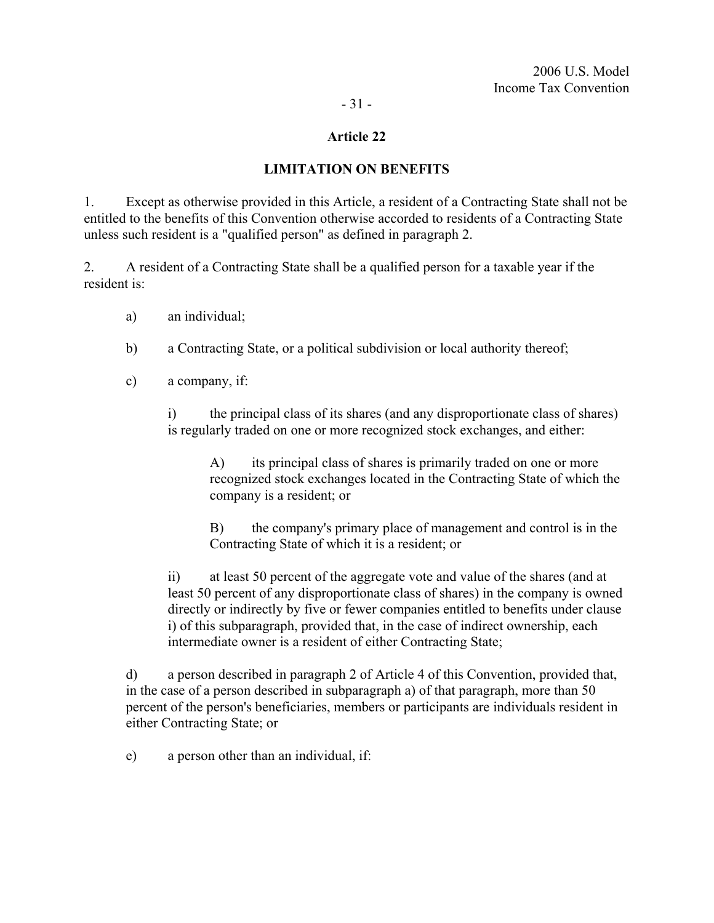## **LIMITATION ON BENEFITS**

1. Except as otherwise provided in this Article, a resident of a Contracting State shall not be entitled to the benefits of this Convention otherwise accorded to residents of a Contracting State unless such resident is a "qualified person" as defined in paragraph 2.

2. A resident of a Contracting State shall be a qualified person for a taxable year if the resident is:

- a) an individual;
- b) a Contracting State, or a political subdivision or local authority thereof;
- c) a company, if:

i) the principal class of its shares (and any disproportionate class of shares) is regularly traded on one or more recognized stock exchanges, and either:

A) its principal class of shares is primarily traded on one or more recognized stock exchanges located in the Contracting State of which the company is a resident; or

B) the company's primary place of management and control is in the Contracting State of which it is a resident; or

ii) at least 50 percent of the aggregate vote and value of the shares (and at least 50 percent of any disproportionate class of shares) in the company is owned directly or indirectly by five or fewer companies entitled to benefits under clause i) of this subparagraph, provided that, in the case of indirect ownership, each intermediate owner is a resident of either Contracting State;

d) a person described in paragraph 2 of Article 4 of this Convention, provided that, in the case of a person described in subparagraph a) of that paragraph, more than 50 percent of the person's beneficiaries, members or participants are individuals resident in either Contracting State; or

e) a person other than an individual, if: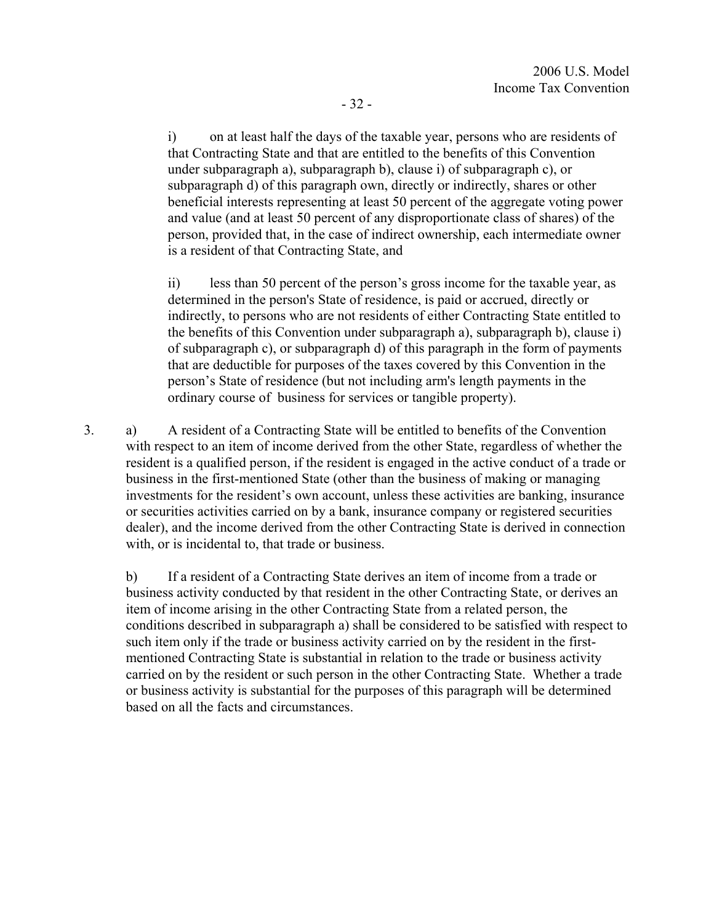i) on at least half the days of the taxable year, persons who are residents of that Contracting State and that are entitled to the benefits of this Convention under subparagraph a), subparagraph b), clause i) of subparagraph c), or subparagraph d) of this paragraph own, directly or indirectly, shares or other beneficial interests representing at least 50 percent of the aggregate voting power and value (and at least 50 percent of any disproportionate class of shares) of the person, provided that, in the case of indirect ownership, each intermediate owner is a resident of that Contracting State, and

ii) less than 50 percent of the person's gross income for the taxable year, as determined in the person's State of residence, is paid or accrued, directly or indirectly, to persons who are not residents of either Contracting State entitled to the benefits of this Convention under subparagraph a), subparagraph b), clause i) of subparagraph c), or subparagraph d) of this paragraph in the form of payments that are deductible for purposes of the taxes covered by this Convention in the person's State of residence (but not including arm's length payments in the ordinary course of business for services or tangible property).

3. a) A resident of a Contracting State will be entitled to benefits of the Convention with respect to an item of income derived from the other State, regardless of whether the resident is a qualified person, if the resident is engaged in the active conduct of a trade or business in the first-mentioned State (other than the business of making or managing investments for the resident's own account, unless these activities are banking, insurance or securities activities carried on by a bank, insurance company or registered securities dealer), and the income derived from the other Contracting State is derived in connection with, or is incidental to, that trade or business.

b) If a resident of a Contracting State derives an item of income from a trade or business activity conducted by that resident in the other Contracting State, or derives an item of income arising in the other Contracting State from a related person, the conditions described in subparagraph a) shall be considered to be satisfied with respect to such item only if the trade or business activity carried on by the resident in the firstmentioned Contracting State is substantial in relation to the trade or business activity carried on by the resident or such person in the other Contracting State. Whether a trade or business activity is substantial for the purposes of this paragraph will be determined based on all the facts and circumstances.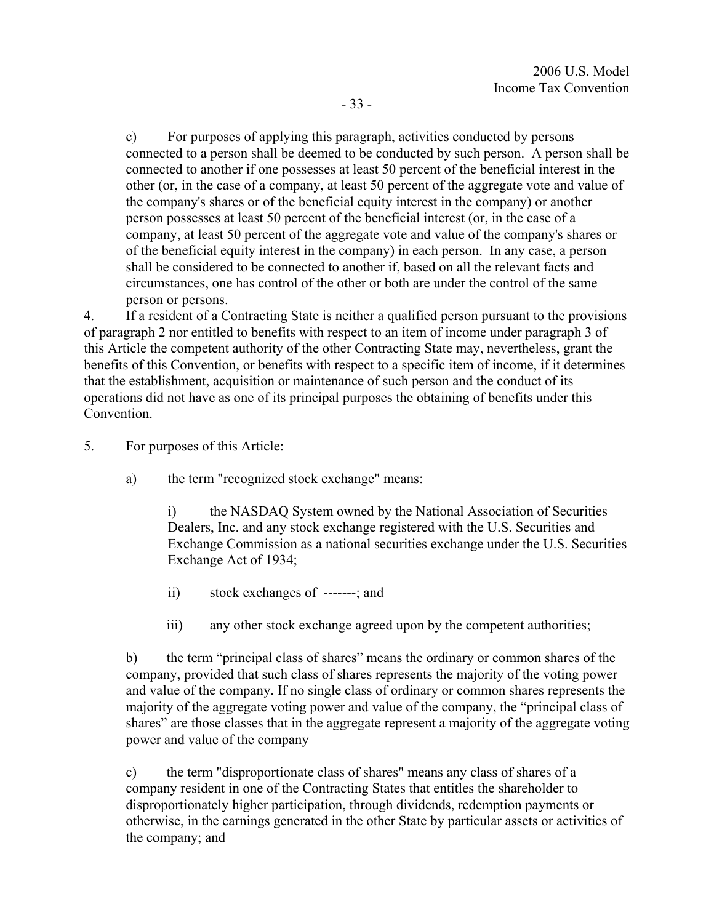c) For purposes of applying this paragraph, activities conducted by persons connected to a person shall be deemed to be conducted by such person. A person shall be connected to another if one possesses at least 50 percent of the beneficial interest in the other (or, in the case of a company, at least 50 percent of the aggregate vote and value of the company's shares or of the beneficial equity interest in the company) or another person possesses at least 50 percent of the beneficial interest (or, in the case of a company, at least 50 percent of the aggregate vote and value of the company's shares or of the beneficial equity interest in the company) in each person. In any case, a person shall be considered to be connected to another if, based on all the relevant facts and circumstances, one has control of the other or both are under the control of the same person or persons.

4. If a resident of a Contracting State is neither a qualified person pursuant to the provisions of paragraph 2 nor entitled to benefits with respect to an item of income under paragraph 3 of this Article the competent authority of the other Contracting State may, nevertheless, grant the benefits of this Convention, or benefits with respect to a specific item of income, if it determines that the establishment, acquisition or maintenance of such person and the conduct of its operations did not have as one of its principal purposes the obtaining of benefits under this **Convention** 

5. For purposes of this Article:

a) the term "recognized stock exchange" means:

i) the NASDAQ System owned by the National Association of Securities Dealers, Inc. and any stock exchange registered with the U.S. Securities and Exchange Commission as a national securities exchange under the U.S. Securities Exchange Act of 1934;

- ii) stock exchanges of -------; and
- iii) any other stock exchange agreed upon by the competent authorities;

b) the term "principal class of shares" means the ordinary or common shares of the company, provided that such class of shares represents the majority of the voting power and value of the company. If no single class of ordinary or common shares represents the majority of the aggregate voting power and value of the company, the "principal class of shares" are those classes that in the aggregate represent a majority of the aggregate voting power and value of the company

c) the term "disproportionate class of shares" means any class of shares of a company resident in one of the Contracting States that entitles the shareholder to disproportionately higher participation, through dividends, redemption payments or otherwise, in the earnings generated in the other State by particular assets or activities of the company; and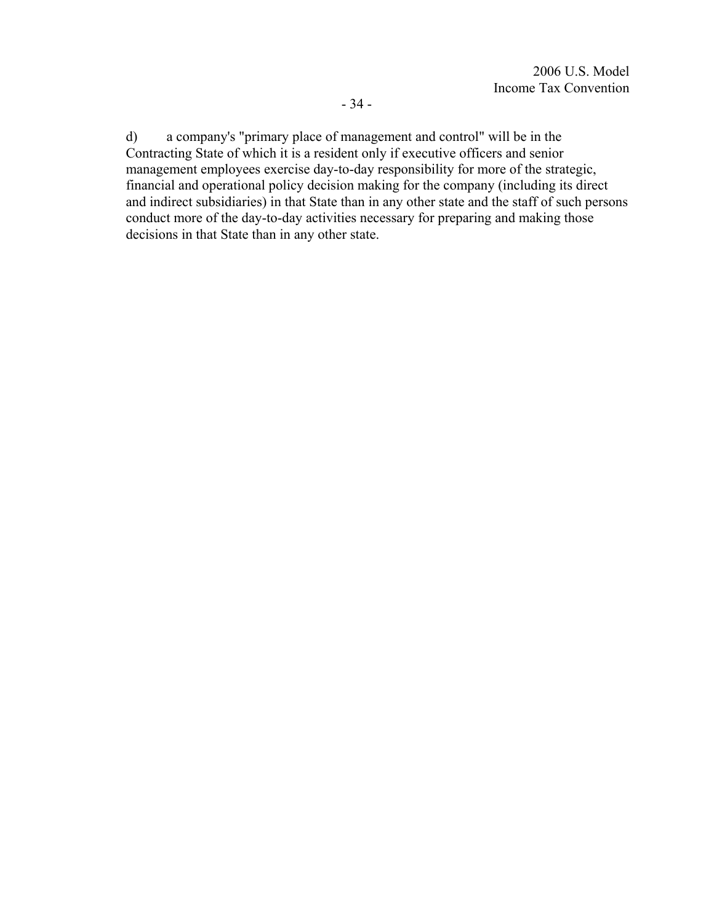d) a company's "primary place of management and control" will be in the Contracting State of which it is a resident only if executive officers and senior management employees exercise day-to-day responsibility for more of the strategic, financial and operational policy decision making for the company (including its direct and indirect subsidiaries) in that State than in any other state and the staff of such persons conduct more of the day-to-day activities necessary for preparing and making those decisions in that State than in any other state.

- 34 -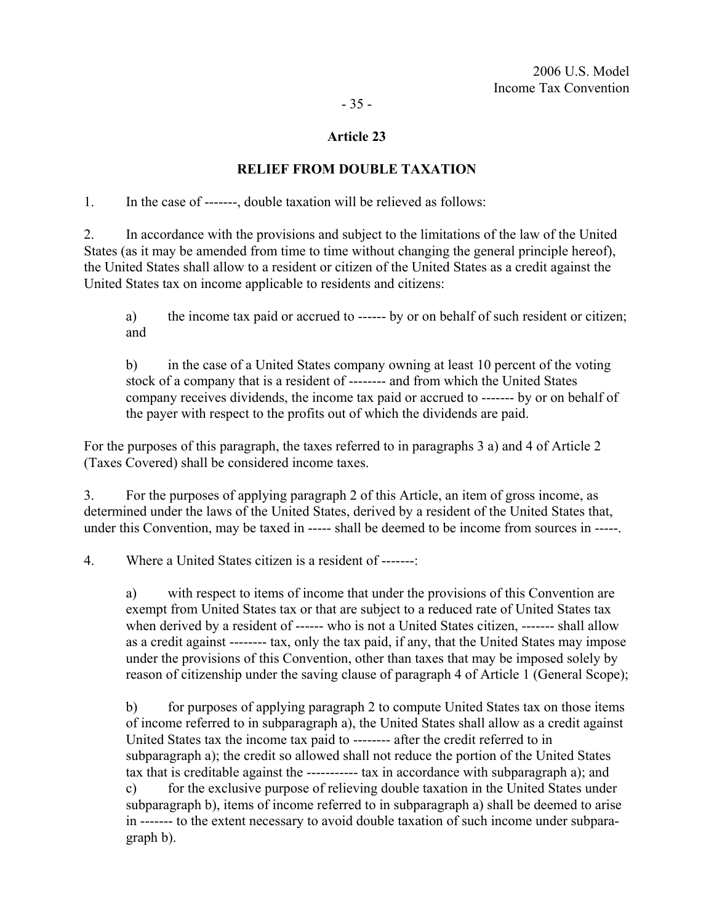## **RELIEF FROM DOUBLE TAXATION**

1. In the case of -------, double taxation will be relieved as follows:

2. In accordance with the provisions and subject to the limitations of the law of the United States (as it may be amended from time to time without changing the general principle hereof), the United States shall allow to a resident or citizen of the United States as a credit against the United States tax on income applicable to residents and citizens:

a) the income tax paid or accrued to ------ by or on behalf of such resident or citizen; and

b) in the case of a United States company owning at least 10 percent of the voting stock of a company that is a resident of -------- and from which the United States company receives dividends, the income tax paid or accrued to ------- by or on behalf of the payer with respect to the profits out of which the dividends are paid.

For the purposes of this paragraph, the taxes referred to in paragraphs 3 a) and 4 of Article 2 (Taxes Covered) shall be considered income taxes.

3. For the purposes of applying paragraph 2 of this Article, an item of gross income, as determined under the laws of the United States, derived by a resident of the United States that, under this Convention, may be taxed in ----- shall be deemed to be income from sources in -----.

4. Where a United States citizen is a resident of -------:

a) with respect to items of income that under the provisions of this Convention are exempt from United States tax or that are subject to a reduced rate of United States tax when derived by a resident of ------ who is not a United States citizen, ------- shall allow as a credit against -------- tax, only the tax paid, if any, that the United States may impose under the provisions of this Convention, other than taxes that may be imposed solely by reason of citizenship under the saving clause of paragraph 4 of Article 1 (General Scope);

b) for purposes of applying paragraph 2 to compute United States tax on those items of income referred to in subparagraph a), the United States shall allow as a credit against United States tax the income tax paid to -------- after the credit referred to in subparagraph a); the credit so allowed shall not reduce the portion of the United States tax that is creditable against the ----------- tax in accordance with subparagraph a); and c) for the exclusive purpose of relieving double taxation in the United States under subparagraph b), items of income referred to in subparagraph a) shall be deemed to arise in ------- to the extent necessary to avoid double taxation of such income under subparagraph b).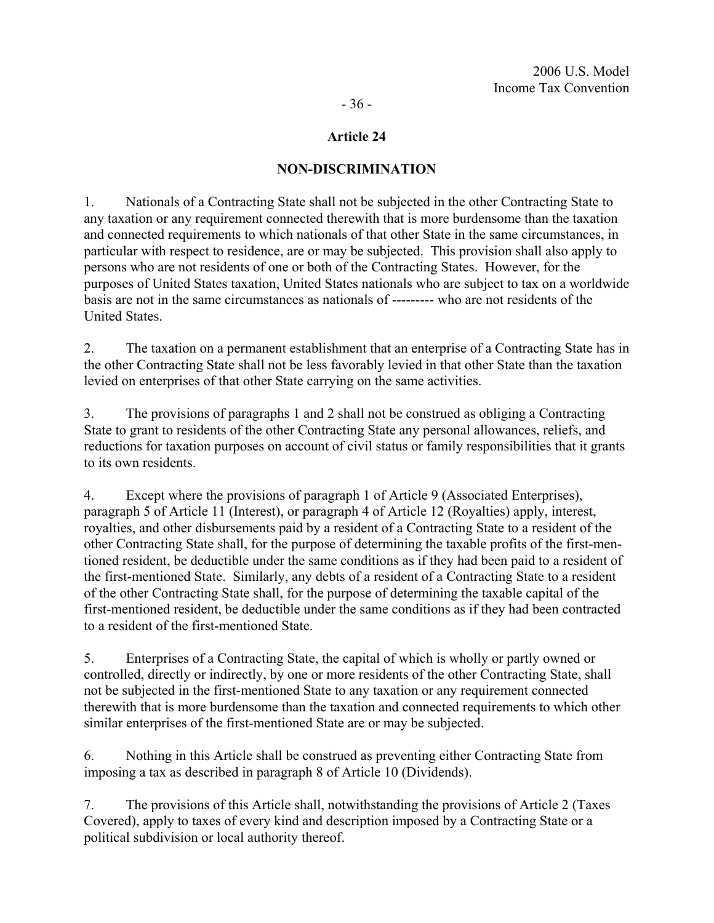#### **NON-DISCRIMINATION**

1. Nationals of a Contracting State shall not be subjected in the other Contracting State to any taxation or any requirement connected therewith that is more burdensome than the taxation and connected requirements to which nationals of that other State in the same circumstances, in particular with respect to residence, are or may be subjected. This provision shall also apply to persons who are not residents of one or both of the Contracting States. However, for the purposes of United States taxation, United States nationals who are subject to tax on a worldwide basis are not in the same circumstances as nationals of --------- who are not residents of the United States.

2. The taxation on a permanent establishment that an enterprise of a Contracting State has in the other Contracting State shall not be less favorably levied in that other State than the taxation levied on enterprises of that other State carrying on the same activities.

3. The provisions of paragraphs 1 and 2 shall not be construed as obliging a Contracting State to grant to residents of the other Contracting State any personal allowances, reliefs, and reductions for taxation purposes on account of civil status or family responsibilities that it grants to its own residents.

4. Except where the provisions of paragraph 1 of Article 9 (Associated Enterprises), paragraph 5 of Article 11 (Interest), or paragraph 4 of Article 12 (Royalties) apply, interest, royalties, and other disbursements paid by a resident of a Contracting State to a resident of the other Contracting State shall, for the purpose of determining the taxable profits of the first-mentioned resident, be deductible under the same conditions as if they had been paid to a resident of the first-mentioned State. Similarly, any debts of a resident of a Contracting State to a resident of the other Contracting State shall, for the purpose of determining the taxable capital of the first-mentioned resident, be deductible under the same conditions as if they had been contracted to a resident of the first-mentioned State.

5. Enterprises of a Contracting State, the capital of which is wholly or partly owned or controlled, directly or indirectly, by one or more residents of the other Contracting State, shall not be subjected in the first-mentioned State to any taxation or any requirement connected therewith that is more burdensome than the taxation and connected requirements to which other similar enterprises of the first-mentioned State are or may be subjected.

6. Nothing in this Article shall be construed as preventing either Contracting State from imposing a tax as described in paragraph 8 of Article 10 (Dividends).

7. The provisions of this Article shall, notwithstanding the provisions of Article 2 (Taxes Covered), apply to taxes of every kind and description imposed by a Contracting State or a political subdivision or local authority thereof.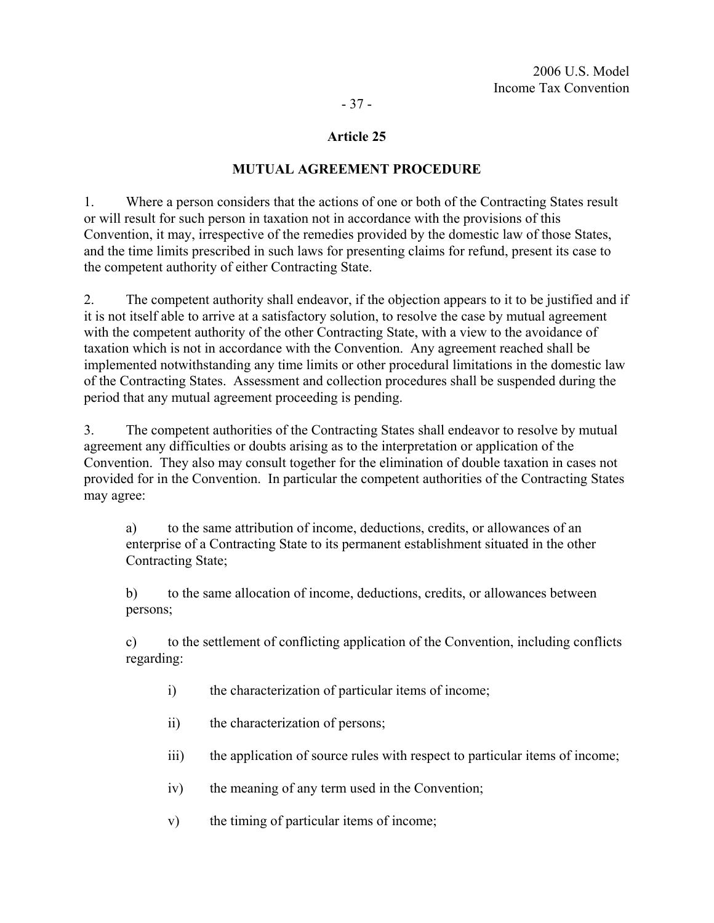- 37 -

## **Article 25**

## **MUTUAL AGREEMENT PROCEDURE**

1. Where a person considers that the actions of one or both of the Contracting States result or will result for such person in taxation not in accordance with the provisions of this Convention, it may, irrespective of the remedies provided by the domestic law of those States, and the time limits prescribed in such laws for presenting claims for refund, present its case to the competent authority of either Contracting State.

2. The competent authority shall endeavor, if the objection appears to it to be justified and if it is not itself able to arrive at a satisfactory solution, to resolve the case by mutual agreement with the competent authority of the other Contracting State, with a view to the avoidance of taxation which is not in accordance with the Convention. Any agreement reached shall be implemented notwithstanding any time limits or other procedural limitations in the domestic law of the Contracting States. Assessment and collection procedures shall be suspended during the period that any mutual agreement proceeding is pending.

3. The competent authorities of the Contracting States shall endeavor to resolve by mutual agreement any difficulties or doubts arising as to the interpretation or application of the Convention. They also may consult together for the elimination of double taxation in cases not provided for in the Convention. In particular the competent authorities of the Contracting States may agree:

a) to the same attribution of income, deductions, credits, or allowances of an enterprise of a Contracting State to its permanent establishment situated in the other Contracting State;

b) to the same allocation of income, deductions, credits, or allowances between persons;

c) to the settlement of conflicting application of the Convention, including conflicts regarding:

- i) the characterization of particular items of income;
- ii) the characterization of persons;
- iii) the application of source rules with respect to particular items of income;
- iv) the meaning of any term used in the Convention;
- v) the timing of particular items of income;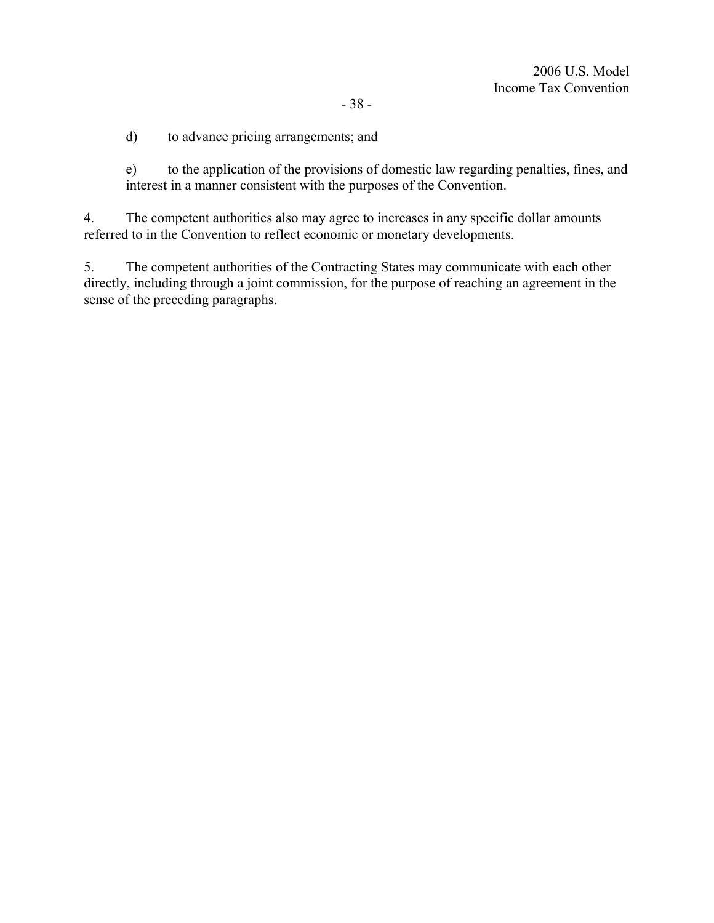d) to advance pricing arrangements; and

e) to the application of the provisions of domestic law regarding penalties, fines, and interest in a manner consistent with the purposes of the Convention.

4. The competent authorities also may agree to increases in any specific dollar amounts referred to in the Convention to reflect economic or monetary developments.

5. The competent authorities of the Contracting States may communicate with each other directly, including through a joint commission, for the purpose of reaching an agreement in the sense of the preceding paragraphs.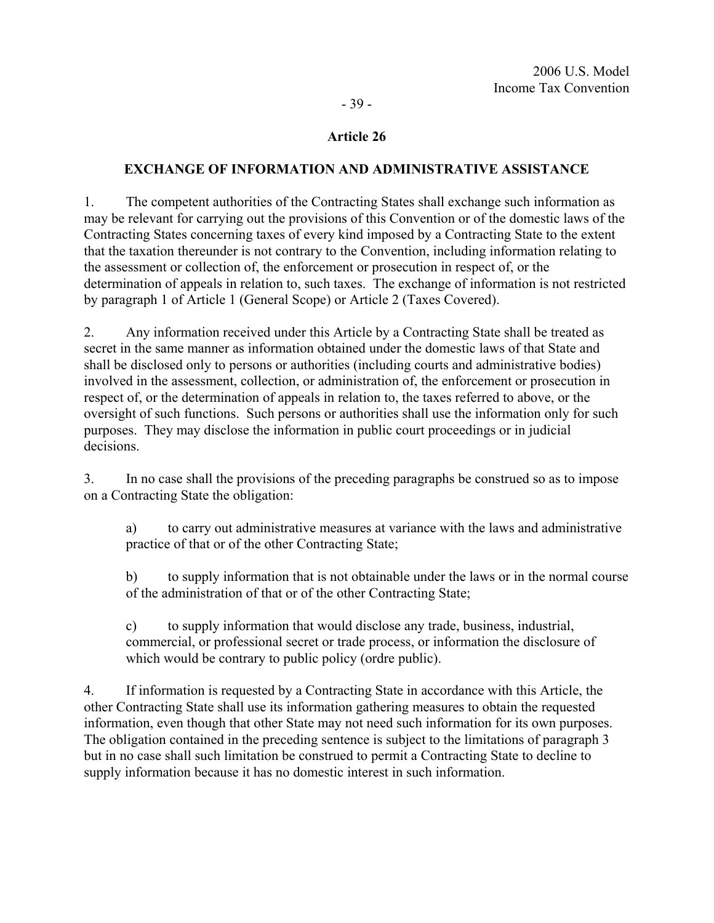## **EXCHANGE OF INFORMATION AND ADMINISTRATIVE ASSISTANCE**

1. The competent authorities of the Contracting States shall exchange such information as may be relevant for carrying out the provisions of this Convention or of the domestic laws of the Contracting States concerning taxes of every kind imposed by a Contracting State to the extent that the taxation thereunder is not contrary to the Convention, including information relating to the assessment or collection of, the enforcement or prosecution in respect of, or the determination of appeals in relation to, such taxes. The exchange of information is not restricted by paragraph 1 of Article 1 (General Scope) or Article 2 (Taxes Covered).

2. Any information received under this Article by a Contracting State shall be treated as secret in the same manner as information obtained under the domestic laws of that State and shall be disclosed only to persons or authorities (including courts and administrative bodies) involved in the assessment, collection, or administration of, the enforcement or prosecution in respect of, or the determination of appeals in relation to, the taxes referred to above, or the oversight of such functions. Such persons or authorities shall use the information only for such purposes. They may disclose the information in public court proceedings or in judicial decisions.

3. In no case shall the provisions of the preceding paragraphs be construed so as to impose on a Contracting State the obligation:

a) to carry out administrative measures at variance with the laws and administrative practice of that or of the other Contracting State;

b) to supply information that is not obtainable under the laws or in the normal course of the administration of that or of the other Contracting State;

c) to supply information that would disclose any trade, business, industrial, commercial, or professional secret or trade process, or information the disclosure of which would be contrary to public policy (ordre public).

4. If information is requested by a Contracting State in accordance with this Article, the other Contracting State shall use its information gathering measures to obtain the requested information, even though that other State may not need such information for its own purposes. The obligation contained in the preceding sentence is subject to the limitations of paragraph 3 but in no case shall such limitation be construed to permit a Contracting State to decline to supply information because it has no domestic interest in such information.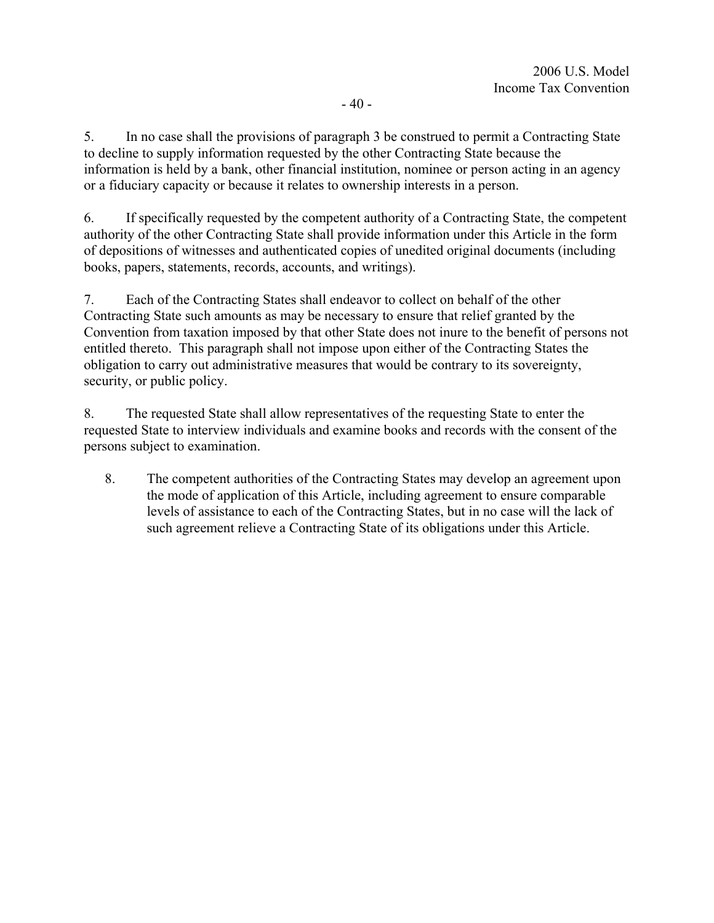5. In no case shall the provisions of paragraph 3 be construed to permit a Contracting State to decline to supply information requested by the other Contracting State because the information is held by a bank, other financial institution, nominee or person acting in an agency or a fiduciary capacity or because it relates to ownership interests in a person.

6. If specifically requested by the competent authority of a Contracting State, the competent authority of the other Contracting State shall provide information under this Article in the form of depositions of witnesses and authenticated copies of unedited original documents (including books, papers, statements, records, accounts, and writings).

7. Each of the Contracting States shall endeavor to collect on behalf of the other Contracting State such amounts as may be necessary to ensure that relief granted by the Convention from taxation imposed by that other State does not inure to the benefit of persons not entitled thereto. This paragraph shall not impose upon either of the Contracting States the obligation to carry out administrative measures that would be contrary to its sovereignty, security, or public policy.

8. The requested State shall allow representatives of the requesting State to enter the requested State to interview individuals and examine books and records with the consent of the persons subject to examination.

8. The competent authorities of the Contracting States may develop an agreement upon the mode of application of this Article, including agreement to ensure comparable levels of assistance to each of the Contracting States, but in no case will the lack of such agreement relieve a Contracting State of its obligations under this Article.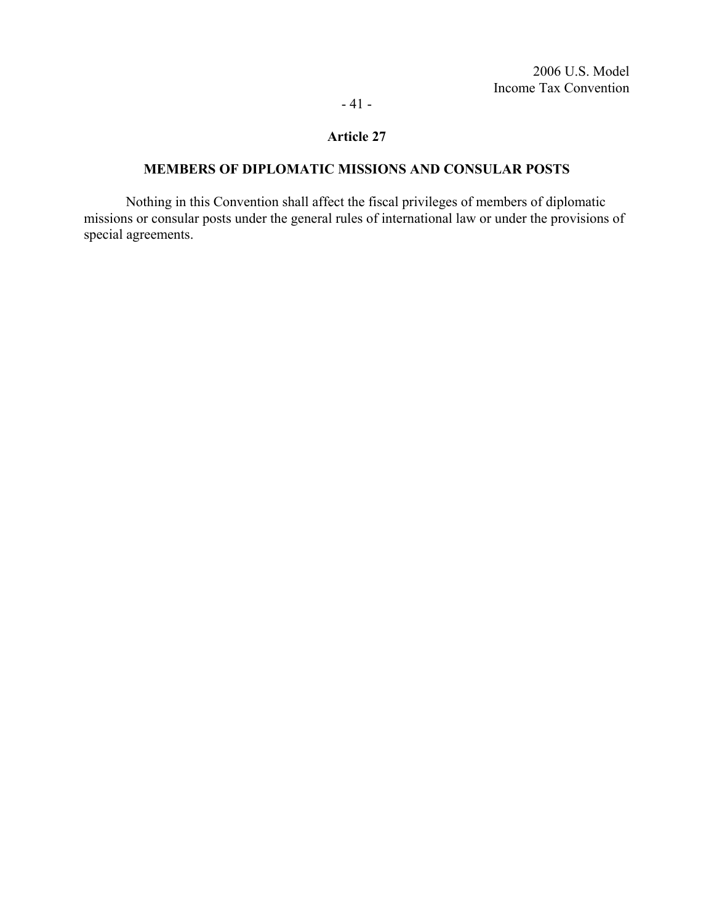#### - 41 -

# **Article 27**

# **MEMBERS OF DIPLOMATIC MISSIONS AND CONSULAR POSTS**

Nothing in this Convention shall affect the fiscal privileges of members of diplomatic missions or consular posts under the general rules of international law or under the provisions of special agreements.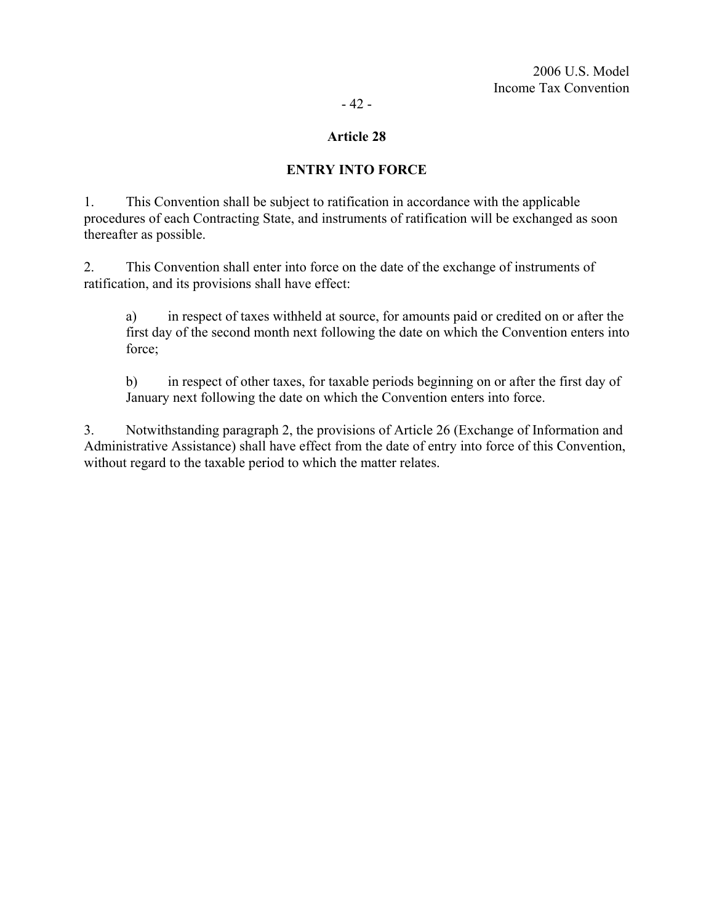#### **ENTRY INTO FORCE**

1. This Convention shall be subject to ratification in accordance with the applicable procedures of each Contracting State, and instruments of ratification will be exchanged as soon thereafter as possible.

2. This Convention shall enter into force on the date of the exchange of instruments of ratification, and its provisions shall have effect:

a) in respect of taxes withheld at source, for amounts paid or credited on or after the first day of the second month next following the date on which the Convention enters into force;

b) in respect of other taxes, for taxable periods beginning on or after the first day of January next following the date on which the Convention enters into force.

3. Notwithstanding paragraph 2, the provisions of Article 26 (Exchange of Information and Administrative Assistance) shall have effect from the date of entry into force of this Convention, without regard to the taxable period to which the matter relates.